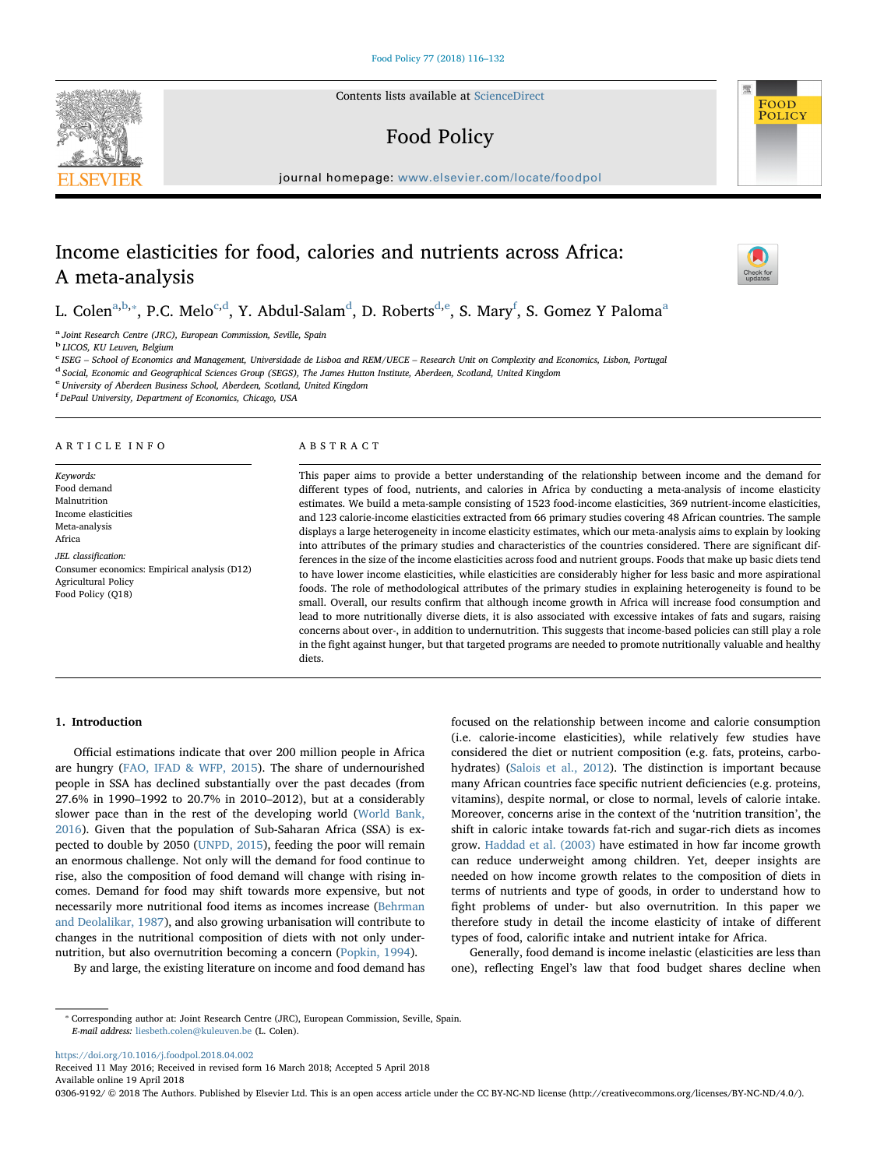Contents lists available at [ScienceDirect](http://www.sciencedirect.com/science/journal/03069192)

# Food Policy

journal homepage: [www.elsevier.com/locate/foodpol](https://www.elsevier.com/locate/foodpol)

# Income elasticities for food, calories and nutrients across Africa: A meta-analysis

L. Colen<sup>[a](#page-0-0),[b](#page-0-1),</sup>\*, P.C. Melo<sup>[c,](#page-0-3)[d](#page-0-4)</sup>, Y. Abdul-Salam<sup>d</sup>, D. Roberts<sup>[d,](#page-0-4)[e](#page-0-5)</sup>, S. Mary<sup>[f](#page-0-6)</sup>, S. Gomez Y Paloma<sup>a</sup>

<span id="page-0-0"></span><sup>a</sup> Joint Research Centre (JRC), European Commission, Seville, Spain

<span id="page-0-1"></span><sup>b</sup> LICOS, KU Leuven, Belgium

<span id="page-0-3"></span>C ISEG - School of Economics and Management, Universidade de Lisboa and REM/UECE - Research Unit on Complexity and Economics, Lisbon, Portugal

<span id="page-0-4"></span><sup>d</sup> Social, Economic and Geographical Sciences Group (SEGS), The James Hutton Institute, Aberdeen, Scotland, United Kingdom

<span id="page-0-5"></span><sup>e</sup> University of Aberdeen Business School, Aberdeen, Scotland, United Kingdom

<span id="page-0-6"></span>f DePaul University, Department of Economics, Chicago, USA

#### ARTICLE INFO

Keywords: Food demand Malnutrition Income elasticities Meta-analysis Africa JEL classification: Consumer economics: Empirical analysis (D12) Agricultural Policy Food Policy (Q18)

## ABSTRACT

This paper aims to provide a better understanding of the relationship between income and the demand for different types of food, nutrients, and calories in Africa by conducting a meta-analysis of income elasticity estimates. We build a meta-sample consisting of 1523 food-income elasticities, 369 nutrient-income elasticities, and 123 calorie-income elasticities extracted from 66 primary studies covering 48 African countries. The sample displays a large heterogeneity in income elasticity estimates, which our meta-analysis aims to explain by looking into attributes of the primary studies and characteristics of the countries considered. There are significant differences in the size of the income elasticities across food and nutrient groups. Foods that make up basic diets tend to have lower income elasticities, while elasticities are considerably higher for less basic and more aspirational foods. The role of methodological attributes of the primary studies in explaining heterogeneity is found to be small. Overall, our results confirm that although income growth in Africa will increase food consumption and lead to more nutritionally diverse diets, it is also associated with excessive intakes of fats and sugars, raising concerns about over-, in addition to undernutrition. This suggests that income-based policies can still play a role in the fight against hunger, but that targeted programs are needed to promote nutritionally valuable and healthy diets.

#### 1. Introduction

Official estimations indicate that over 200 million people in Africa are hungry ([FAO, IFAD & WFP, 2015](#page-16-0)). The share of undernourished people in SSA has declined substantially over the past decades (from 27.6% in 1990–1992 to 20.7% in 2010–2012), but at a considerably slower pace than in the rest of the developing world [\(World Bank,](#page-16-1) [2016\)](#page-16-1). Given that the population of Sub-Saharan Africa (SSA) is expected to double by 2050 [\(UNPD, 2015\)](#page-16-2), feeding the poor will remain an enormous challenge. Not only will the demand for food continue to rise, also the composition of food demand will change with rising incomes. Demand for food may shift towards more expensive, but not necessarily more nutritional food items as incomes increase ([Behrman](#page-16-3) [and Deolalikar, 1987\)](#page-16-3), and also growing urbanisation will contribute to changes in the nutritional composition of diets with not only undernutrition, but also overnutrition becoming a concern [\(Popkin, 1994\)](#page-16-4).

By and large, the existing literature on income and food demand has

focused on the relationship between income and calorie consumption (i.e. calorie-income elasticities), while relatively few studies have considered the diet or nutrient composition (e.g. fats, proteins, carbohydrates) ([Salois et al., 2012](#page-16-5)). The distinction is important because many African countries face specific nutrient deficiencies (e.g. proteins, vitamins), despite normal, or close to normal, levels of calorie intake. Moreover, concerns arise in the context of the 'nutrition transition', the shift in caloric intake towards fat-rich and sugar-rich diets as incomes grow. [Haddad et al. \(2003\)](#page-16-6) have estimated in how far income growth can reduce underweight among children. Yet, deeper insights are needed on how income growth relates to the composition of diets in terms of nutrients and type of goods, in order to understand how to fight problems of under- but also overnutrition. In this paper we therefore study in detail the income elasticity of intake of different types of food, calorific intake and nutrient intake for Africa.

Generally, food demand is income inelastic (elasticities are less than one), reflecting Engel's law that food budget shares decline when

<https://doi.org/10.1016/j.foodpol.2018.04.002>

Received 11 May 2016; Received in revised form 16 March 2018; Accepted 5 April 2018 Available online 19 April 2018

0306-9192/ © 2018 The Authors. Published by Elsevier Ltd. This is an open access article under the CC BY-NC-ND license (http://creativecommons.org/licenses/BY-NC-ND/4.0/).





[T](http://crossmark.crossref.org/dialog/?doi=10.1016/j.foodpol.2018.04.002&domain=pdf)

<span id="page-0-2"></span><sup>⁎</sup> Corresponding author at: Joint Research Centre (JRC), European Commission, Seville, Spain. E-mail address: [liesbeth.colen@kuleuven.be](mailto:liesbeth.colen@kuleuven.be) (L. Colen).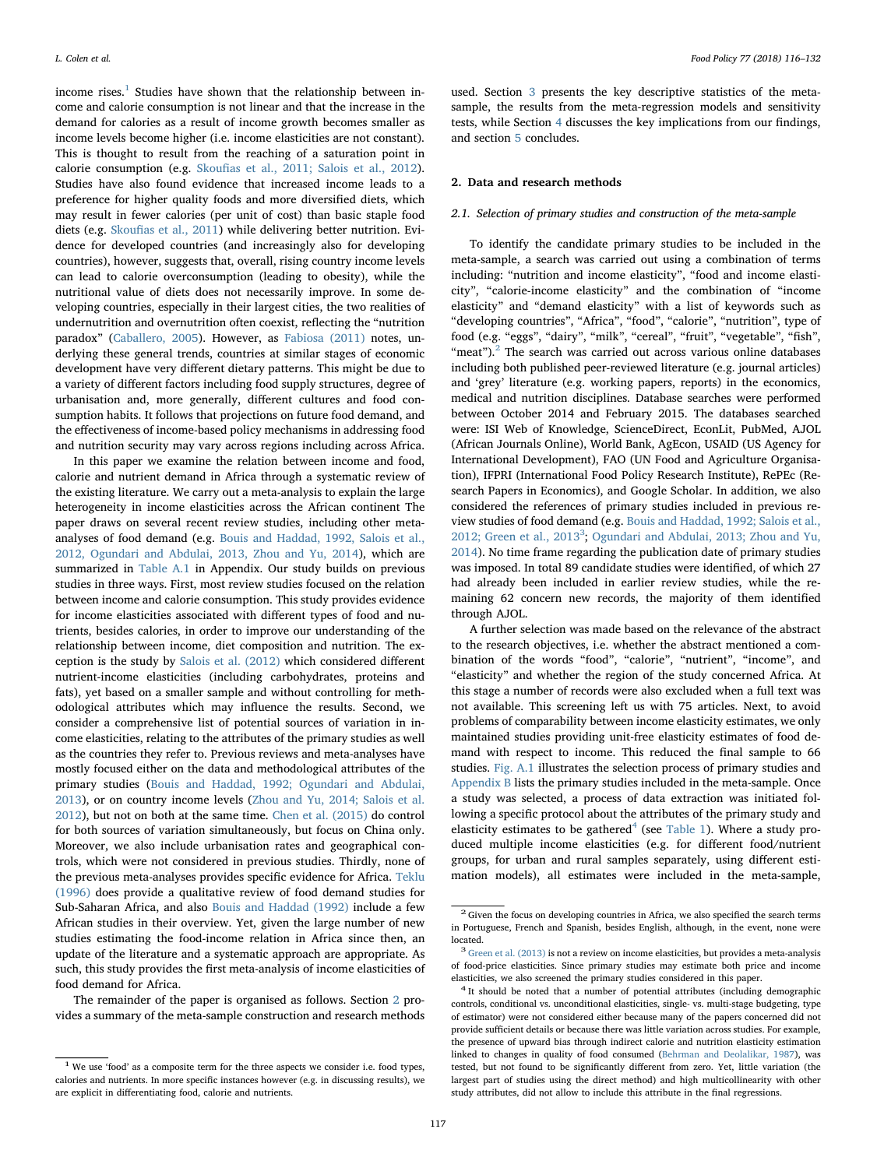income rises. $1$  Studies have shown that the relationship between income and calorie consumption is not linear and that the increase in the demand for calories as a result of income growth becomes smaller as income levels become higher (i.e. income elasticities are not constant). This is thought to result from the reaching of a saturation point in calorie consumption (e.g. Skoufi[as et al., 2011; Salois et al., 2012](#page-16-7)). Studies have also found evidence that increased income leads to a preference for higher quality foods and more diversified diets, which may result in fewer calories (per unit of cost) than basic staple food diets (e.g. Skoufi[as et al., 2011\)](#page-16-7) while delivering better nutrition. Evidence for developed countries (and increasingly also for developing countries), however, suggests that, overall, rising country income levels can lead to calorie overconsumption (leading to obesity), while the nutritional value of diets does not necessarily improve. In some developing countries, especially in their largest cities, the two realities of undernutrition and overnutrition often coexist, reflecting the "nutrition paradox" ([Caballero, 2005\)](#page-16-8). However, as [Fabiosa \(2011\)](#page-16-9) notes, underlying these general trends, countries at similar stages of economic development have very different dietary patterns. This might be due to a variety of different factors including food supply structures, degree of urbanisation and, more generally, different cultures and food consumption habits. It follows that projections on future food demand, and the effectiveness of income-based policy mechanisms in addressing food and nutrition security may vary across regions including across Africa.

In this paper we examine the relation between income and food, calorie and nutrient demand in Africa through a systematic review of the existing literature. We carry out a meta-analysis to explain the large heterogeneity in income elasticities across the African continent The paper draws on several recent review studies, including other metaanalyses of food demand (e.g. [Bouis and Haddad, 1992, Salois et al.,](#page-16-10) [2012, Ogundari and Abdulai, 2013, Zhou and Yu, 2014\)](#page-16-10), which are summarized in [Table A.1](#page-10-0) in Appendix. Our study builds on previous studies in three ways. First, most review studies focused on the relation between income and calorie consumption. This study provides evidence for income elasticities associated with different types of food and nutrients, besides calories, in order to improve our understanding of the relationship between income, diet composition and nutrition. The exception is the study by [Salois et al. \(2012\)](#page-16-5) which considered different nutrient-income elasticities (including carbohydrates, proteins and fats), yet based on a smaller sample and without controlling for methodological attributes which may influence the results. Second, we consider a comprehensive list of potential sources of variation in income elasticities, relating to the attributes of the primary studies as well as the countries they refer to. Previous reviews and meta-analyses have mostly focused either on the data and methodological attributes of the primary studies [\(Bouis and Haddad, 1992; Ogundari and Abdulai,](#page-16-10) [2013\)](#page-16-10), or on country income levels [\(Zhou and Yu, 2014; Salois et al.](#page-16-11) [2012\)](#page-16-11), but not on both at the same time. [Chen et al. \(2015\)](#page-16-12) do control for both sources of variation simultaneously, but focus on China only. Moreover, we also include urbanisation rates and geographical controls, which were not considered in previous studies. Thirdly, none of the previous meta-analyses provides specific evidence for Africa. [Teklu](#page-16-13) [\(1996\)](#page-16-13) does provide a qualitative review of food demand studies for Sub-Saharan Africa, and also [Bouis and Haddad \(1992\)](#page-16-10) include a few African studies in their overview. Yet, given the large number of new studies estimating the food-income relation in Africa since then, an update of the literature and a systematic approach are appropriate. As such, this study provides the first meta-analysis of income elasticities of food demand for Africa.

The remainder of the paper is organised as follows. Section [2](#page-1-1) provides a summary of the meta-sample construction and research methods

used. Section [3](#page-3-0) presents the key descriptive statistics of the metasample, the results from the meta-regression models and sensitivity tests, while Section [4](#page-9-0) discusses the key implications from our findings, and section [5](#page-9-1) concludes.

### <span id="page-1-1"></span>2. Data and research methods

### 2.1. Selection of primary studies and construction of the meta-sample

To identify the candidate primary studies to be included in the meta-sample, a search was carried out using a combination of terms including: "nutrition and income elasticity", "food and income elasticity", "calorie-income elasticity" and the combination of "income elasticity" and "demand elasticity" with a list of keywords such as "developing countries", "Africa", "food", "calorie", "nutrition", type of food (e.g. "eggs", "dairy", "milk", "cereal", "fruit", "vegetable", "fish", "meat"). $^{2}$  $^{2}$  $^{2}$  The search was carried out across various online databases including both published peer-reviewed literature (e.g. journal articles) and 'grey' literature (e.g. working papers, reports) in the economics, medical and nutrition disciplines. Database searches were performed between October 2014 and February 2015. The databases searched were: ISI Web of Knowledge, ScienceDirect, EconLit, PubMed, AJOL (African Journals Online), World Bank, AgEcon, USAID (US Agency for International Development), FAO (UN Food and Agriculture Organisation), IFPRI (International Food Policy Research Institute), RePEc (Research Papers in Economics), and Google Scholar. In addition, we also considered the references of primary studies included in previous review studies of food demand (e.g. [Bouis and Haddad, 1992; Salois et al.,](#page-16-10) [2012; Green et al., 2013](#page-16-10)<sup>[3](#page-1-3)</sup>; [Ogundari and Abdulai, 2013; Zhou and Yu,](#page-16-14) [2014\)](#page-16-14). No time frame regarding the publication date of primary studies was imposed. In total 89 candidate studies were identified, of which 27 had already been included in earlier review studies, while the remaining 62 concern new records, the majority of them identified through AJOL.

A further selection was made based on the relevance of the abstract to the research objectives, i.e. whether the abstract mentioned a combination of the words "food", "calorie", "nutrient", "income", and "elasticity" and whether the region of the study concerned Africa. At this stage a number of records were also excluded when a full text was not available. This screening left us with 75 articles. Next, to avoid problems of comparability between income elasticity estimates, we only maintained studies providing unit-free elasticity estimates of food demand with respect to income. This reduced the final sample to 66 studies. [Fig. A.1](#page-10-1) illustrates the selection process of primary studies and [Appendix B](#page-11-0) lists the primary studies included in the meta-sample. Once a study was selected, a process of data extraction was initiated following a specific protocol about the attributes of the primary study and elasticity estimates to be gathered<sup>[4](#page-1-4)</sup> (see [Table 1\)](#page-2-0). Where a study produced multiple income elasticities (e.g. for different food/nutrient groups, for urban and rural samples separately, using different estimation models), all estimates were included in the meta-sample,

<span id="page-1-0"></span> $^{\rm 1}$  We use 'food' as a composite term for the three aspects we consider i.e. food types, calories and nutrients. In more specific instances however (e.g. in discussing results), we are explicit in differentiating food, calorie and nutrients.

<span id="page-1-2"></span> $2$  Given the focus on developing countries in Africa, we also specified the search terms in Portuguese, French and Spanish, besides English, although, in the event, none were located.  $\frac{3}{3}$  [Green et al. \(2013\)](#page-16-15) is not a review on income elasticities, but provides a meta-analysis

<span id="page-1-3"></span>of food-price elasticities. Since primary studies may estimate both price and income elasticities, we also screened the primary studies considered in this paper. <sup>4</sup> It should be noted that a number of potential attributes (including demographic

<span id="page-1-4"></span>controls, conditional vs. unconditional elasticities, single- vs. multi-stage budgeting, type of estimator) were not considered either because many of the papers concerned did not provide sufficient details or because there was little variation across studies. For example, the presence of upward bias through indirect calorie and nutrition elasticity estimation linked to changes in quality of food consumed ([Behrman and Deolalikar, 1987\)](#page-16-3), was tested, but not found to be significantly different from zero. Yet, little variation (the largest part of studies using the direct method) and high multicollinearity with other study attributes, did not allow to include this attribute in the final regressions.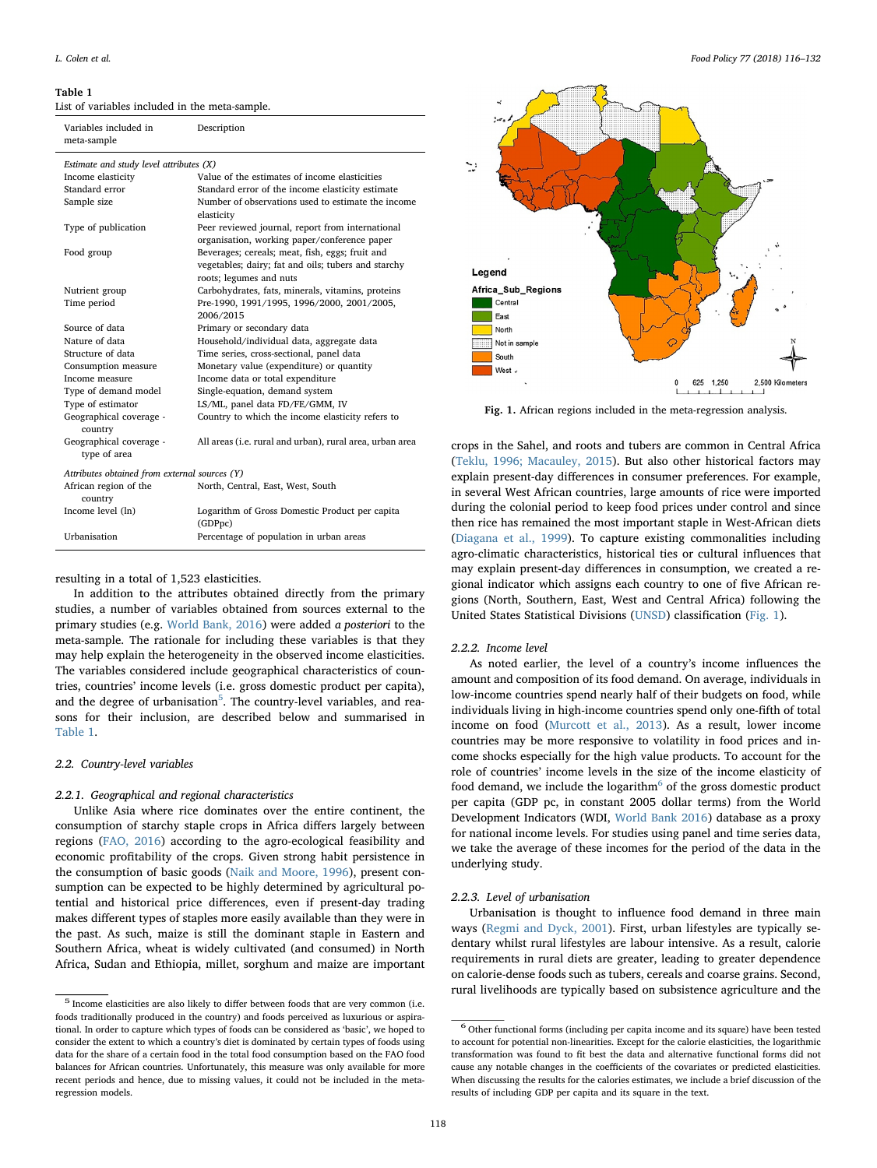<span id="page-2-0"></span>List of variables included in the meta-sample.

| Variables included in<br>meta-sample          | Description                                                                                      |
|-----------------------------------------------|--------------------------------------------------------------------------------------------------|
| Estimate and study level attributes (X)       |                                                                                                  |
| Income elasticity                             | Value of the estimates of income elasticities                                                    |
| Standard error                                | Standard error of the income elasticity estimate                                                 |
| Sample size                                   | Number of observations used to estimate the income<br>elasticity                                 |
| Type of publication                           | Peer reviewed journal, report from international<br>organisation, working paper/conference paper |
| Food group                                    | Beverages; cereals; meat, fish, eggs; fruit and                                                  |
|                                               | vegetables; dairy; fat and oils; tubers and starchy<br>roots; legumes and nuts                   |
| Nutrient group                                | Carbohydrates, fats, minerals, vitamins, proteins                                                |
| Time period                                   | Pre-1990, 1991/1995, 1996/2000, 2001/2005,                                                       |
|                                               | 2006/2015                                                                                        |
| Source of data                                | Primary or secondary data                                                                        |
| Nature of data                                | Household/individual data, aggregate data                                                        |
| Structure of data                             | Time series, cross-sectional, panel data                                                         |
| Consumption measure                           | Monetary value (expenditure) or quantity                                                         |
| Income measure                                | Income data or total expenditure                                                                 |
| Type of demand model                          | Single-equation, demand system                                                                   |
| Type of estimator                             | LS/ML, panel data FD/FE/GMM, IV                                                                  |
| Geographical coverage -<br>country            | Country to which the income elasticity refers to                                                 |
| Geographical coverage -<br>type of area       | All areas (i.e. rural and urban), rural area, urban area                                         |
| Attributes obtained from external sources (Y) |                                                                                                  |
| African region of the<br>country              | North, Central, East, West, South                                                                |
| Income level (ln)                             | Logarithm of Gross Domestic Product per capita<br>(GDPpc)                                        |
| Urbanisation                                  | Percentage of population in urban areas                                                          |

#### resulting in a total of 1,523 elasticities.

In addition to the attributes obtained directly from the primary studies, a number of variables obtained from sources external to the primary studies (e.g. [World Bank, 2016](#page-16-1)) were added a posteriori to the meta-sample. The rationale for including these variables is that they may help explain the heterogeneity in the observed income elasticities. The variables considered include geographical characteristics of countries, countries' income levels (i.e. gross domestic product per capita), and the degree of urbanisation<sup>[5](#page-2-1)</sup>. The country-level variables, and reasons for their inclusion, are described below and summarised in [Table 1](#page-2-0).

#### 2.2. Country-level variables

## 2.2.1. Geographical and regional characteristics

Unlike Asia where rice dominates over the entire continent, the consumption of starchy staple crops in Africa differs largely between regions ([FAO, 2016](#page-16-16)) according to the agro-ecological feasibility and economic profitability of the crops. Given strong habit persistence in the consumption of basic goods [\(Naik and Moore, 1996](#page-16-17)), present consumption can be expected to be highly determined by agricultural potential and historical price differences, even if present-day trading makes different types of staples more easily available than they were in the past. As such, maize is still the dominant staple in Eastern and Southern Africa, wheat is widely cultivated (and consumed) in North Africa, Sudan and Ethiopia, millet, sorghum and maize are important

<span id="page-2-2"></span>

Fig. 1. African regions included in the meta-regression analysis.

crops in the Sahel, and roots and tubers are common in Central Africa ([Teklu, 1996; Macauley, 2015\)](#page-16-13). But also other historical factors may explain present-day differences in consumer preferences. For example, in several West African countries, large amounts of rice were imported during the colonial period to keep food prices under control and since then rice has remained the most important staple in West-African diets ([Diagana et al., 1999](#page-16-18)). To capture existing commonalities including agro-climatic characteristics, historical ties or cultural influences that may explain present-day differences in consumption, we created a regional indicator which assigns each country to one of five African regions (North, Southern, East, West and Central Africa) following the United States Statistical Divisions [\(UNSD](#page-16-19)) classification [\(Fig. 1\)](#page-2-2).

#### 2.2.2. Income level

As noted earlier, the level of a country's income influences the amount and composition of its food demand. On average, individuals in low-income countries spend nearly half of their budgets on food, while individuals living in high-income countries spend only one-fifth of total income on food [\(Murcott et al., 2013](#page-16-20)). As a result, lower income countries may be more responsive to volatility in food prices and income shocks especially for the high value products. To account for the role of countries' income levels in the size of the income elasticity of food demand, we include the logarithm<sup> $6$ </sup> of the gross domestic product per capita (GDP pc, in constant 2005 dollar terms) from the World Development Indicators (WDI, [World Bank 2016\)](#page-16-1) database as a proxy for national income levels. For studies using panel and time series data, we take the average of these incomes for the period of the data in the underlying study.

#### 2.2.3. Level of urbanisation

Urbanisation is thought to influence food demand in three main ways [\(Regmi and Dyck, 2001](#page-16-21)). First, urban lifestyles are typically sedentary whilst rural lifestyles are labour intensive. As a result, calorie requirements in rural diets are greater, leading to greater dependence on calorie-dense foods such as tubers, cereals and coarse grains. Second, rural livelihoods are typically based on subsistence agriculture and the

<span id="page-2-1"></span> $^{\rm 5}$  Income elasticities are also likely to differ between foods that are very common (i.e. foods traditionally produced in the country) and foods perceived as luxurious or aspirational. In order to capture which types of foods can be considered as 'basic', we hoped to consider the extent to which a country's diet is dominated by certain types of foods using data for the share of a certain food in the total food consumption based on the FAO food balances for African countries. Unfortunately, this measure was only available for more recent periods and hence, due to missing values, it could not be included in the metaregression models.

<span id="page-2-3"></span><sup>6</sup> Other functional forms (including per capita income and its square) have been tested to account for potential non-linearities. Except for the calorie elasticities, the logarithmic transformation was found to fit best the data and alternative functional forms did not cause any notable changes in the coefficients of the covariates or predicted elasticities. When discussing the results for the calories estimates, we include a brief discussion of the results of including GDP per capita and its square in the text.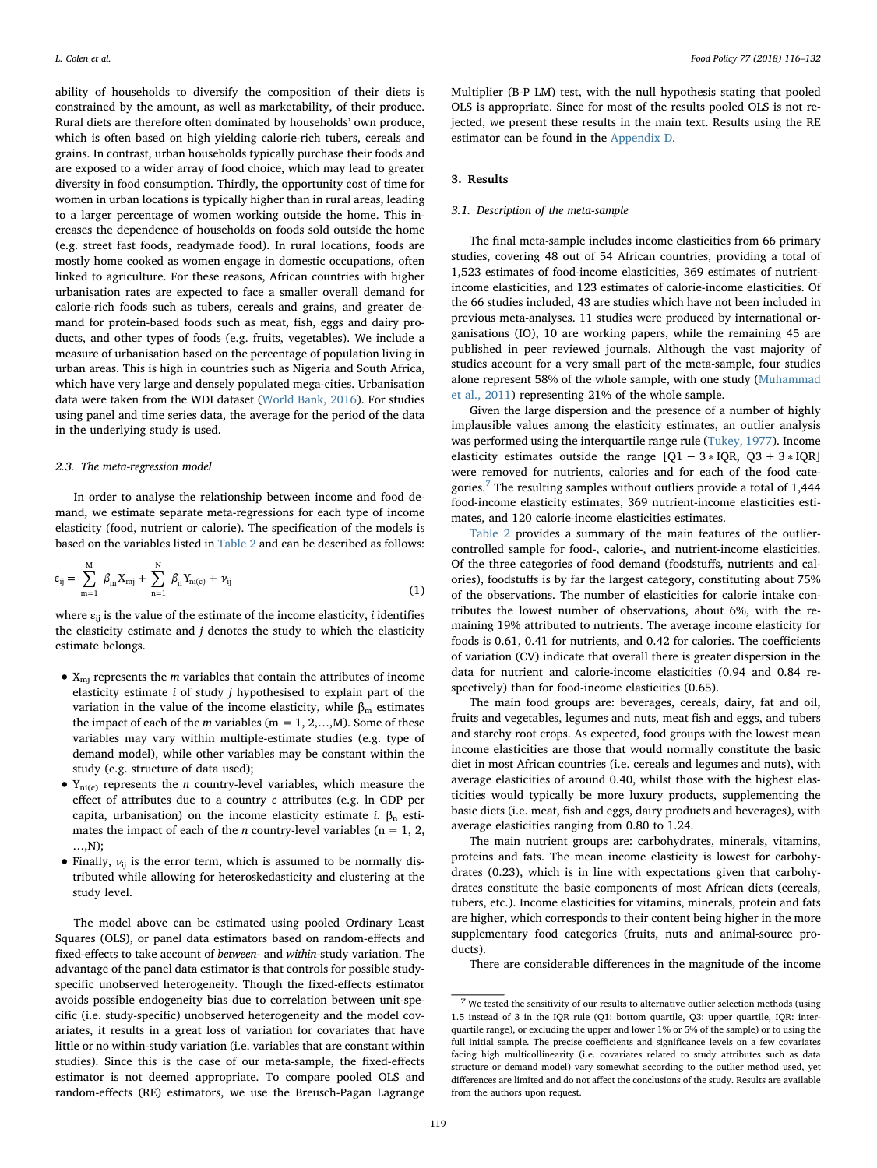ability of households to diversify the composition of their diets is constrained by the amount, as well as marketability, of their produce. Rural diets are therefore often dominated by households' own produce, which is often based on high yielding calorie-rich tubers, cereals and grains. In contrast, urban households typically purchase their foods and are exposed to a wider array of food choice, which may lead to greater diversity in food consumption. Thirdly, the opportunity cost of time for women in urban locations is typically higher than in rural areas, leading to a larger percentage of women working outside the home. This increases the dependence of households on foods sold outside the home (e.g. street fast foods, readymade food). In rural locations, foods are mostly home cooked as women engage in domestic occupations, often linked to agriculture. For these reasons, African countries with higher urbanisation rates are expected to face a smaller overall demand for calorie-rich foods such as tubers, cereals and grains, and greater demand for protein-based foods such as meat, fish, eggs and dairy products, and other types of foods (e.g. fruits, vegetables). We include a measure of urbanisation based on the percentage of population living in urban areas. This is high in countries such as Nigeria and South Africa, which have very large and densely populated mega-cities. Urbanisation data were taken from the WDI dataset [\(World Bank, 2016](#page-16-1)). For studies using panel and time series data, the average for the period of the data in the underlying study is used.

#### 2.3. The meta-regression model

In order to analyse the relationship between income and food demand, we estimate separate meta-regressions for each type of income elasticity (food, nutrient or calorie). The specification of the models is based on the variables listed in [Table 2](#page-4-0) and can be described as follows:

$$
\varepsilon_{ij} = \sum_{m=1}^{M} \beta_m X_{mj} + \sum_{n=1}^{N} \beta_n Y_{ni(c)} + \nu_{ij}
$$
\n(1)

where  $\varepsilon_{ii}$  is the value of the estimate of the income elasticity, *i* identifies the elasticity estimate and  $j$  denotes the study to which the elasticity estimate belongs.

- $X_{mi}$  represents the *m* variables that contain the attributes of income elasticity estimate  $i$  of study  $j$  hypothesised to explain part of the variation in the value of the income elasticity, while  $β<sub>m</sub>$  estimates the impact of each of the m variables ( $m = 1, 2,...,M$ ). Some of these variables may vary within multiple-estimate studies (e.g. type of demand model), while other variables may be constant within the study (e.g. structure of data used);
- $Y_{ni(c)}$  represents the *n* country-level variables, which measure the effect of attributes due to a country c attributes (e.g. ln GDP per capita, urbanisation) on the income elasticity estimate *i*.  $β<sub>n</sub>$  estimates the impact of each of the *n* country-level variables ( $n = 1, 2,$ …,N);
- Finally,  $v_{ij}$  is the error term, which is assumed to be normally distributed while allowing for heteroskedasticity and clustering at the study level.

The model above can be estimated using pooled Ordinary Least Squares (OLS), or panel data estimators based on random-effects and fixed-effects to take account of between- and within-study variation. The advantage of the panel data estimator is that controls for possible studyspecific unobserved heterogeneity. Though the fixed-effects estimator avoids possible endogeneity bias due to correlation between unit-specific (i.e. study-specific) unobserved heterogeneity and the model covariates, it results in a great loss of variation for covariates that have little or no within-study variation (i.e. variables that are constant within studies). Since this is the case of our meta-sample, the fixed-effects estimator is not deemed appropriate. To compare pooled OLS and random-effects (RE) estimators, we use the Breusch-Pagan Lagrange

Multiplier (B-P LM) test, with the null hypothesis stating that pooled OLS is appropriate. Since for most of the results pooled OLS is not rejected, we present these results in the main text. Results using the RE estimator can be found in the [Appendix D.](#page-13-0)

## <span id="page-3-0"></span>3. Results

### 3.1. Description of the meta-sample

The final meta-sample includes income elasticities from 66 primary studies, covering 48 out of 54 African countries, providing a total of 1,523 estimates of food-income elasticities, 369 estimates of nutrientincome elasticities, and 123 estimates of calorie-income elasticities. Of the 66 studies included, 43 are studies which have not been included in previous meta-analyses. 11 studies were produced by international organisations (IO), 10 are working papers, while the remaining 45 are published in peer reviewed journals. Although the vast majority of studies account for a very small part of the meta-sample, four studies alone represent 58% of the whole sample, with one study [\(Muhammad](#page-16-22) [et al., 2011](#page-16-22)) representing 21% of the whole sample.

Given the large dispersion and the presence of a number of highly implausible values among the elasticity estimates, an outlier analysis was performed using the interquartile range rule ([Tukey, 1977\)](#page-16-23). Income elasticity estimates outside the range  $[Q1 - 3 * IQR, Q3 + 3 * IQR]$ were removed for nutrients, calories and for each of the food cate-gories.<sup>[7](#page-3-1)</sup> The resulting samples without outliers provide a total of  $1,444$ food-income elasticity estimates, 369 nutrient-income elasticities estimates, and 120 calorie-income elasticities estimates.

[Table 2](#page-4-0) provides a summary of the main features of the outliercontrolled sample for food-, calorie-, and nutrient-income elasticities. Of the three categories of food demand (foodstuffs, nutrients and calories), foodstuffs is by far the largest category, constituting about 75% of the observations. The number of elasticities for calorie intake contributes the lowest number of observations, about 6%, with the remaining 19% attributed to nutrients. The average income elasticity for foods is 0.61, 0.41 for nutrients, and 0.42 for calories. The coefficients of variation (CV) indicate that overall there is greater dispersion in the data for nutrient and calorie-income elasticities (0.94 and 0.84 respectively) than for food-income elasticities (0.65).

The main food groups are: beverages, cereals, dairy, fat and oil, fruits and vegetables, legumes and nuts, meat fish and eggs, and tubers and starchy root crops. As expected, food groups with the lowest mean income elasticities are those that would normally constitute the basic diet in most African countries (i.e. cereals and legumes and nuts), with average elasticities of around 0.40, whilst those with the highest elasticities would typically be more luxury products, supplementing the basic diets (i.e. meat, fish and eggs, dairy products and beverages), with average elasticities ranging from 0.80 to 1.24.

The main nutrient groups are: carbohydrates, minerals, vitamins, proteins and fats. The mean income elasticity is lowest for carbohydrates (0.23), which is in line with expectations given that carbohydrates constitute the basic components of most African diets (cereals, tubers, etc.). Income elasticities for vitamins, minerals, protein and fats are higher, which corresponds to their content being higher in the more supplementary food categories (fruits, nuts and animal-source products).

There are considerable differences in the magnitude of the income

<span id="page-3-1"></span> $^7$  We tested the sensitivity of our results to alternative outlier selection methods (using 1.5 instead of 3 in the IQR rule (Q1: bottom quartile, Q3: upper quartile, IQR: interquartile range), or excluding the upper and lower 1% or 5% of the sample) or to using the full initial sample. The precise coefficients and significance levels on a few covariates facing high multicollinearity (i.e. covariates related to study attributes such as data structure or demand model) vary somewhat according to the outlier method used, yet differences are limited and do not affect the conclusions of the study. Results are available from the authors upon request.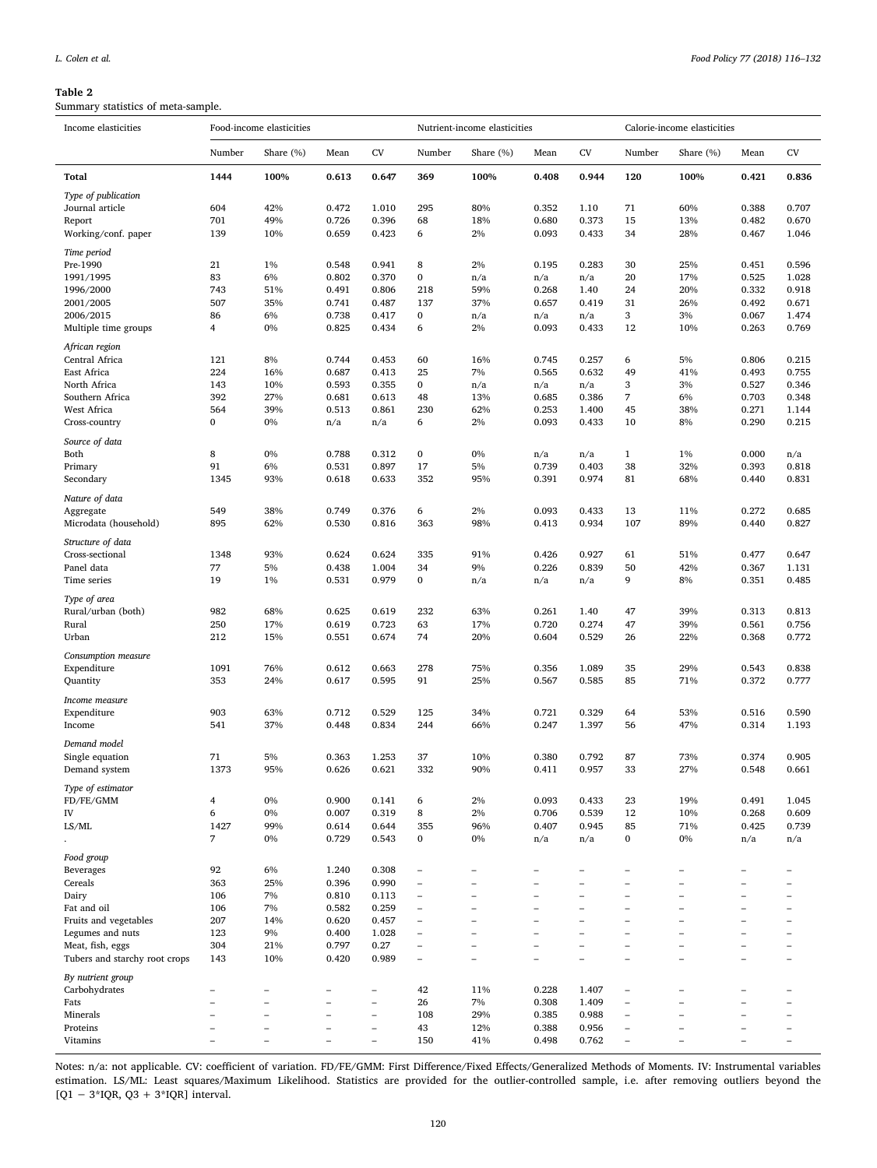<span id="page-4-0"></span>Summary statistics of meta-sample.

| Income elasticities                | Food-income elasticities |                          | Nutrient-income elasticities |                          |                                        | Calorie-income elasticities    |                          |                          |                               |                                                      |                                                      |                          |
|------------------------------------|--------------------------|--------------------------|------------------------------|--------------------------|----------------------------------------|--------------------------------|--------------------------|--------------------------|-------------------------------|------------------------------------------------------|------------------------------------------------------|--------------------------|
|                                    | Number                   | Share (%)                | Mean                         | <b>CV</b>                | Number                                 | Share (%)                      | Mean                     | CV                       | Number                        | Share (%)                                            | Mean                                                 | CV                       |
| <b>Total</b>                       | 1444                     | 100%                     | 0.613                        | 0.647                    | 369                                    | 100%                           | 0.408                    | 0.944                    | 120                           | 100%                                                 | 0.421                                                | 0.836                    |
| Type of publication                |                          |                          |                              |                          |                                        |                                |                          |                          |                               |                                                      |                                                      |                          |
| Journal article                    | 604                      | 42%                      | 0.472                        | 1.010                    | 295                                    | 80%                            | 0.352                    | 1.10                     | 71                            | 60%                                                  | 0.388                                                | 0.707                    |
| Report                             | 701                      | 49%                      | 0.726                        | 0.396                    | 68                                     | 18%                            | 0.680                    | 0.373                    | 15                            | 13%                                                  | 0.482                                                | 0.670                    |
| Working/conf. paper                | 139                      | 10%                      | 0.659                        | 0.423                    | 6                                      | 2%                             | 0.093                    | 0.433                    | 34                            | 28%                                                  | 0.467                                                | 1.046                    |
| Time period                        |                          |                          |                              |                          |                                        |                                |                          |                          |                               |                                                      |                                                      |                          |
| Pre-1990                           | 21                       | 1%                       | 0.548                        | 0.941                    | 8                                      | 2%                             | 0.195                    | 0.283                    | 30                            | 25%                                                  | 0.451                                                | 0.596                    |
| 1991/1995                          | 83                       | 6%                       | 0.802                        | 0.370                    | $\bf{0}$                               | n/a                            | n/a                      | n/a                      | 20                            | 17%                                                  | 0.525                                                | 1.028                    |
| 1996/2000                          | 743                      | 51%                      | 0.491                        | 0.806                    | 218                                    | 59%                            | 0.268                    | 1.40                     | 24                            | 20%                                                  | 0.332                                                | 0.918                    |
| 2001/2005                          | 507                      | 35%                      | 0.741                        | 0.487                    | 137                                    | 37%                            | 0.657                    | 0.419                    | 31                            | 26%                                                  | 0.492                                                | 0.671                    |
| 2006/2015                          | 86                       | 6%                       | 0.738                        | 0.417                    | $\bf{0}$                               | n/a                            | n/a                      | n/a                      | 3                             | 3%                                                   | 0.067                                                | 1.474                    |
| Multiple time groups               | 4                        | 0%                       | 0.825                        | 0.434                    | 6                                      | 2%                             | 0.093                    | 0.433                    | 12                            | 10%                                                  | 0.263                                                | 0.769                    |
| African region                     |                          |                          |                              |                          |                                        |                                |                          |                          |                               |                                                      |                                                      |                          |
| Central Africa                     | 121                      | 8%                       | 0.744                        | 0.453                    | 60                                     | 16%                            | 0.745                    | 0.257                    | 6                             | 5%                                                   | 0.806                                                | 0.215                    |
| East Africa                        | 224                      | 16%                      | 0.687                        | 0.413                    | 25                                     | 7%                             | 0.565                    | 0.632                    | 49                            | 41%                                                  | 0.493                                                | 0.755                    |
| North Africa<br>Southern Africa    | 143<br>392               | 10%                      | 0.593                        | 0.355<br>0.613           | $\bf{0}$                               | n/a                            | n/a                      | n/a                      | 3                             | 3%<br>6%                                             | 0.527                                                | 0.346                    |
| West Africa                        | 564                      | 27%<br>39%               | 0.681<br>0.513               | 0.861                    | 48<br>230                              | 13%<br>62%                     | 0.685<br>0.253           | 0.386<br>1.400           | 7<br>45                       | 38%                                                  | 0.703<br>0.271                                       | 0.348<br>1.144           |
| Cross-country                      | $\bf{0}$                 | 0%                       | n/a                          | n/a                      | 6                                      | 2%                             | 0.093                    | 0.433                    | 10                            | 8%                                                   | 0.290                                                | 0.215                    |
|                                    |                          |                          |                              |                          |                                        |                                |                          |                          |                               |                                                      |                                                      |                          |
| Source of data                     |                          |                          |                              |                          |                                        |                                |                          |                          |                               |                                                      |                                                      |                          |
| Both<br>Primary                    | 8<br>91                  | 0%<br>6%                 | 0.788<br>0.531               | 0.312<br>0.897           | $\boldsymbol{0}$<br>17                 | 0%<br>5%                       | n/a<br>0.739             | n/a<br>0.403             | $\mathbf{1}$<br>38            | 1%<br>32%                                            | 0.000<br>0.393                                       | n/a<br>0.818             |
| Secondary                          | 1345                     | 93%                      | 0.618                        | 0.633                    | 352                                    | 95%                            | 0.391                    | 0.974                    | 81                            | 68%                                                  | 0.440                                                | 0.831                    |
|                                    |                          |                          |                              |                          |                                        |                                |                          |                          |                               |                                                      |                                                      |                          |
| Nature of data                     |                          |                          |                              |                          |                                        |                                |                          |                          |                               |                                                      |                                                      |                          |
| Aggregate<br>Microdata (household) | 549<br>895               | 38%<br>62%               | 0.749<br>0.530               | 0.376<br>0.816           | 6<br>363                               | 2%<br>98%                      | 0.093<br>0.413           | 0.433<br>0.934           | 13<br>107                     | 11%<br>89%                                           | 0.272<br>0.440                                       | 0.685<br>0.827           |
|                                    |                          |                          |                              |                          |                                        |                                |                          |                          |                               |                                                      |                                                      |                          |
| Structure of data                  |                          |                          |                              |                          |                                        |                                |                          |                          |                               |                                                      |                                                      |                          |
| Cross-sectional                    | 1348                     | 93%                      | 0.624                        | 0.624                    | 335                                    | 91%                            | 0.426                    | 0.927                    | 61                            | 51%                                                  | 0.477                                                | 0.647                    |
| Panel data<br>Time series          | 77<br>19                 | 5%<br>1%                 | 0.438<br>0.531               | 1.004<br>0.979           | 34<br>$\bf{0}$                         | 9%<br>n/a                      | 0.226<br>n/a             | 0.839<br>n/a             | 50<br>9                       | 42%<br>8%                                            | 0.367<br>0.351                                       | 1.131<br>0.485           |
|                                    |                          |                          |                              |                          |                                        |                                |                          |                          |                               |                                                      |                                                      |                          |
| Type of area                       |                          |                          |                              |                          |                                        |                                |                          |                          |                               |                                                      |                                                      |                          |
| Rural/urban (both)                 | 982                      | 68%                      | 0.625                        | 0.619                    | 232                                    | 63%                            | 0.261                    | 1.40                     | 47                            | 39%                                                  | 0.313                                                | 0.813                    |
| Rural                              | 250<br>212               | 17%<br>15%               | 0.619                        | 0.723<br>0.674           | 63<br>74                               | 17%                            | 0.720                    | 0.274                    | 47<br>26                      | 39%                                                  | 0.561                                                | 0.756                    |
| Urban                              |                          |                          | 0.551                        |                          |                                        | 20%                            | 0.604                    | 0.529                    |                               | 22%                                                  | 0.368                                                | 0.772                    |
| Consumption measure                |                          |                          |                              |                          |                                        |                                |                          |                          |                               |                                                      |                                                      |                          |
| Expenditure                        | 1091                     | 76%                      | 0.612                        | 0.663                    | 278                                    | 75%                            | 0.356                    | 1.089                    | 35<br>85                      | 29%                                                  | 0.543                                                | 0.838                    |
| Quantity                           | 353                      | 24%                      | 0.617                        | 0.595                    | 91                                     | 25%                            | 0.567                    | 0.585                    |                               | 71%                                                  | 0.372                                                | 0.777                    |
| Income measure                     |                          |                          |                              |                          |                                        |                                |                          |                          |                               |                                                      |                                                      |                          |
| Expenditure                        | 903                      | 63%                      | 0.712                        | 0.529                    | 125                                    | 34%                            | 0.721                    | 0.329                    | 64                            | 53%                                                  | 0.516                                                | 0.590                    |
| Income                             | 541                      | 37%                      | 0.448                        | 0.834                    | 244                                    | 66%                            | 0.247                    | 1.397                    | 56                            | 47%                                                  | 0.314                                                | 1.193                    |
| Demand model                       |                          |                          |                              |                          |                                        |                                |                          |                          |                               |                                                      |                                                      |                          |
| Single equation                    | 71                       | 5%                       | 0.363                        | 1.253                    | 37                                     | 10%                            | 0.380                    | 0.792                    | 87                            | 73%                                                  | 0.374                                                | 0.905                    |
| Demand system                      | 1373                     | 95%                      | 0.626                        | 0.621                    | 332                                    | 90%                            | 0.411                    | 0.957                    | 33                            | 27%                                                  | 0.548                                                | 0.661                    |
| Type of estimator                  |                          |                          |                              |                          |                                        |                                |                          |                          |                               |                                                      |                                                      |                          |
| FD/FE/GMM                          | 4                        | 0%                       | 0.900                        | 0.141                    | 6                                      | 2%                             | 0.093                    | 0.433                    | 23                            | 19%                                                  | 0.491                                                | 1.045                    |
| IV                                 | 6                        | $0\%$                    | 0.007                        | 0.319                    | 8                                      | $2\%$                          | 0.706                    | 0.539                    | 12                            | 10%                                                  | 0.268                                                | 0.609                    |
| LS/ML                              | 1427                     | 99%                      | 0.614                        | 0.644                    | 355                                    | 96%                            | 0.407                    | 0.945                    | 85                            | 71%                                                  | 0.425                                                | 0.739                    |
|                                    | 7                        | 0%                       | 0.729                        | 0.543                    | $\bf{0}$                               | 0%                             | n/a                      | n/a                      | 0                             | 0%                                                   | n/a                                                  | n/a                      |
| Food group                         |                          |                          |                              |                          |                                        |                                |                          |                          |                               |                                                      |                                                      |                          |
| Beverages                          | 92                       | 6%                       | 1.240                        | 0.308                    | $\overline{\phantom{a}}$               |                                |                          |                          | $\overline{\phantom{0}}$      | -                                                    | ٠                                                    | ۰                        |
| Cereals                            | 363                      | 25%                      | 0.396                        | 0.990                    | $\overline{\phantom{0}}$               |                                |                          |                          | $\overline{\phantom{0}}$      | $\overline{\phantom{0}}$                             | $\overline{\phantom{0}}$                             | -                        |
| Dairy<br>Fat and oil               | 106<br>106               | 7%<br>7%                 | 0.810                        | 0.113                    | $\overline{\phantom{a}}$               | $\overline{\phantom{0}}$<br>L. | $\overline{\phantom{0}}$ | $\overline{\phantom{0}}$ | $\overline{\phantom{0}}$<br>÷ | $\overline{\phantom{0}}$<br>$\overline{\phantom{0}}$ | $\overline{\phantom{a}}$<br>$\overline{\phantom{0}}$ | ÷                        |
| Fruits and vegetables              | 207                      | 14%                      | 0.582<br>0.620               | 0.259<br>0.457           | $\qquad \qquad -$<br>$\qquad \qquad -$ |                                |                          | L.                       | L.                            | $\overline{\phantom{0}}$                             | $\overline{\phantom{a}}$                             | ÷<br>÷                   |
| Legumes and nuts                   | 123                      | 9%                       | 0.400                        | 1.028                    | $\overline{\phantom{0}}$               |                                |                          |                          |                               | $\overline{\phantom{0}}$                             | $\overline{\phantom{a}}$                             |                          |
| Meat, fish, eggs                   | 304                      | 21%                      | 0.797                        | 0.27                     | $\qquad \qquad -$                      |                                |                          | $\overline{\phantom{0}}$ |                               | $\overline{\phantom{0}}$                             | $\overline{\phantom{0}}$                             |                          |
| Tubers and starchy root crops      | 143                      | 10%                      | 0.420                        | 0.989                    | $\qquad \qquad -$                      | $\overline{\phantom{a}}$       |                          | -                        | $\overline{\phantom{0}}$      | $\overline{\phantom{0}}$                             | $\overline{\phantom{a}}$                             | ۰                        |
| By nutrient group                  |                          |                          |                              |                          |                                        |                                |                          |                          |                               |                                                      |                                                      |                          |
| Carbohydrates                      | ÷                        |                          |                              | $\overline{\phantom{0}}$ | 42                                     | 11%                            | 0.228                    | 1.407                    | $\overline{\phantom{0}}$      |                                                      | $\overline{\phantom{a}}$                             |                          |
| Fats                               | $\overline{\phantom{a}}$ | $\overline{\phantom{a}}$ | $\overline{\phantom{0}}$     | $\overline{\phantom{0}}$ | 26                                     | 7%                             | 0.308                    | 1.409                    | $\overline{\phantom{a}}$      | $\overline{\phantom{0}}$                             | $\overline{\phantom{a}}$                             | ÷                        |
| Minerals                           | ۰                        |                          | -                            | $\overline{\phantom{m}}$ | 108                                    | 29%                            | 0.385                    | 0.988                    | $\overline{\phantom{m}}$      | $\overline{\phantom{0}}$                             | $\overline{\phantom{a}}$                             | -                        |
| Proteins                           | -                        | ۰                        | -                            | $\overline{\phantom{0}}$ | 43                                     | 12%                            | 0.388                    | 0.956                    | $\overline{\phantom{a}}$      | $\overline{\phantom{0}}$                             | $\overline{\phantom{0}}$                             | -                        |
| Vitamins                           |                          |                          |                              | $\overline{\phantom{0}}$ | 150                                    | 41%                            | 0.498                    | 0.762                    | $\overline{\phantom{0}}$      | $\overline{\phantom{0}}$                             | $\overline{\phantom{0}}$                             | $\overline{\phantom{0}}$ |

Notes: n/a: not applicable. CV: coefficient of variation. FD/FE/GMM: First Difference/Fixed Effects/Generalized Methods of Moments. IV: Instrumental variables estimation. LS/ML: Least squares/Maximum Likelihood. Statistics are provided for the outlier-controlled sample, i.e. after removing outliers beyond the [Q1 − 3\*IQR, Q3 + 3\*IQR] interval.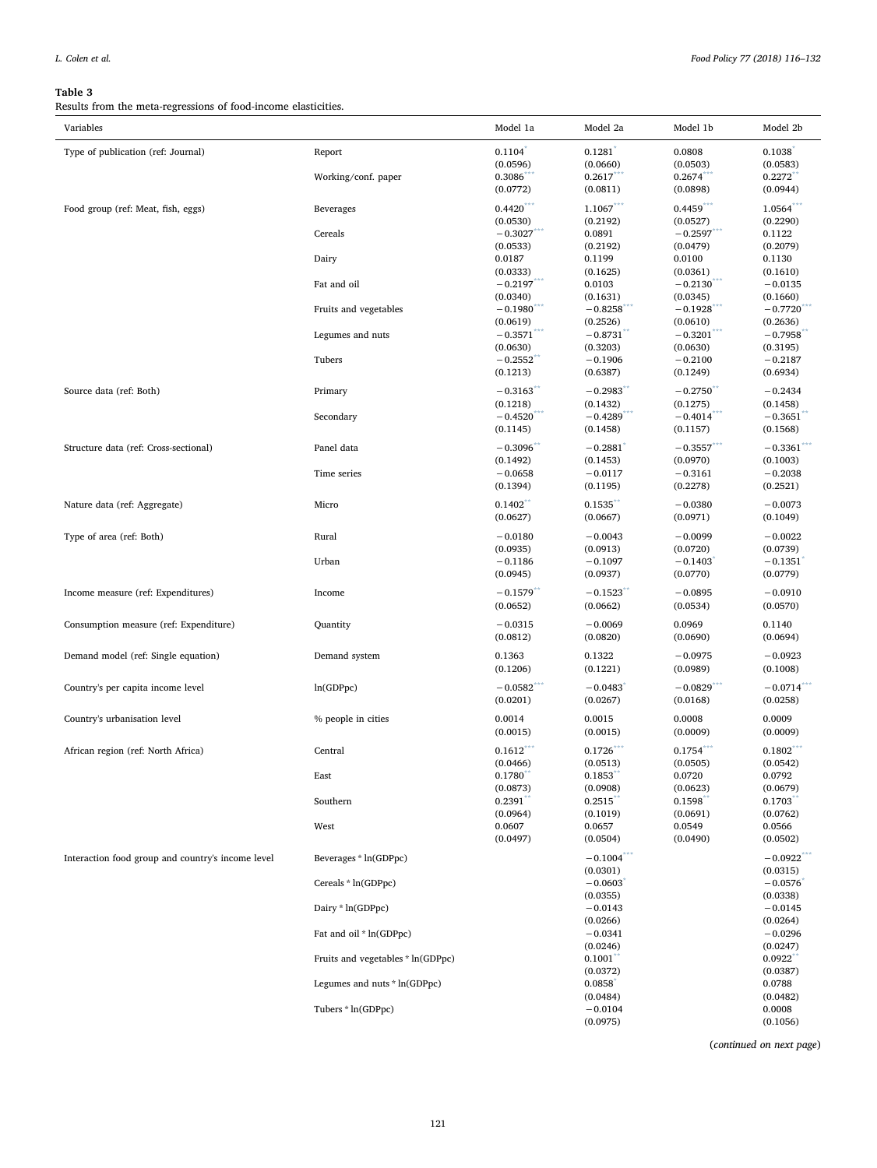<span id="page-5-0"></span>Results from the meta-regressions of food-income elasticities.

| Variables                                         |                                   | Model 1a                 | Model 2a               | Model 1b                 | Model 2b                 |
|---------------------------------------------------|-----------------------------------|--------------------------|------------------------|--------------------------|--------------------------|
| Type of publication (ref: Journal)                | Report                            | $0.1104*$                | $0.1281$ <sup>*</sup>  | 0.0808                   | 0.1038                   |
|                                                   |                                   | (0.0596)                 | (0.0660)               | (0.0503)                 | (0.0583)                 |
|                                                   | Working/conf. paper               | 0.3086                   | 0.2617                 | 0.2674                   | 0.2272                   |
|                                                   |                                   | (0.0772)                 | (0.0811)               | (0.0898)                 | (0.0944)                 |
| Food group (ref: Meat, fish, eggs)                | Beverages                         | $0.4420***$              | $1.1067***$            | $0.4459***$              | $1.0564***$              |
|                                                   |                                   | (0.0530)                 | (0.2192)               | (0.0527)                 | (0.2290)                 |
|                                                   | Cereals                           | $-0.3027$                | 0.0891                 | $-0.2597$                | 0.1122                   |
|                                                   |                                   | (0.0533)                 | (0.2192)               | (0.0479)                 | (0.2079)                 |
|                                                   | Dairy                             | 0.0187                   | 0.1199                 | 0.0100                   | 0.1130                   |
|                                                   |                                   | (0.0333)                 | (0.1625)               | (0.0361)                 | (0.1610)                 |
|                                                   | Fat and oil                       | $-0.2197$ ***            | 0.0103                 | $-0.2130$ ***            | $-0.0135$                |
|                                                   |                                   |                          |                        |                          |                          |
|                                                   |                                   | (0.0340)                 | (0.1631)               | (0.0345)                 | (0.1660)                 |
|                                                   | Fruits and vegetables             | $-0.1980$                | $-0.8258$              | $-0.1928$                | $-0.7720$                |
|                                                   |                                   | (0.0619)                 | (0.2526)               | (0.0610)                 | (0.2636)                 |
|                                                   | Legumes and nuts                  | $-0.3571$                | $-0.8731$ <sup>*</sup> | $-0.3201$ <sup>*</sup>   | $-0.7958$                |
|                                                   |                                   | (0.0630)                 | (0.3203)               | (0.0630)                 | (0.3195)                 |
|                                                   | Tubers                            | $-0.2552$                | $-0.1906$              | $-0.2100$                | $-0.2187$                |
|                                                   |                                   | (0.1213)                 | (0.6387)               | (0.1249)                 | (0.6934)                 |
| Source data (ref: Both)                           | Primary                           | $-0.3163$                | $-0.2983$              | $-0.2750$                | $-0.2434$                |
|                                                   |                                   | (0.1218)                 | (0.1432)               | (0.1275)                 | (0.1458)                 |
|                                                   | Secondary                         | $-0.4520$ ***            | $-0.4289$ ***          | $-0.4014***$             | $-0.3651$ <sup>*</sup>   |
|                                                   |                                   | (0.1145)                 | (0.1458)               | (0.1157)                 | (0.1568)                 |
| Structure data (ref: Cross-sectional)             | Panel data                        | $-0.3096$                | $-0.2881$              | $-0.3557***$             | $-0.3361$                |
|                                                   |                                   |                          |                        |                          |                          |
|                                                   |                                   | (0.1492)                 | (0.1453)               | (0.0970)                 | (0.1003)                 |
|                                                   | Time series                       | $-0.0658$                | $-0.0117$              | $-0.3161$                | $-0.2038$                |
|                                                   |                                   | (0.1394)                 | (0.1195)               | (0.2278)                 | (0.2521)                 |
| Nature data (ref: Aggregate)                      | Micro                             | 0.1402                   | 0.1535                 | $-0.0380$                | $-0.0073$                |
|                                                   |                                   | (0.0627)                 | (0.0667)               | (0.0971)                 | (0.1049)                 |
|                                                   |                                   |                          |                        |                          |                          |
| Type of area (ref: Both)                          | Rural                             | $-0.0180$                | $-0.0043$              | $-0.0099$                | $-0.0022$                |
|                                                   |                                   | (0.0935)                 | (0.0913)               | (0.0720)                 | (0.0739)                 |
|                                                   | Urban                             | $-0.1186$                | $-0.1097$              | $-0.1403$                | $-0.1351$                |
|                                                   |                                   | (0.0945)                 | (0.0937)               | (0.0770)                 | (0.0779)                 |
| Income measure (ref: Expenditures)                | Income                            | $-0.1579$                | $-0.1523$              | $-0.0895$                | $-0.0910$                |
|                                                   |                                   | (0.0652)                 | (0.0662)               | (0.0534)                 | (0.0570)                 |
|                                                   |                                   |                          |                        |                          |                          |
| Consumption measure (ref: Expenditure)            | Quantity                          | $-0.0315$                | $-0.0069$              | 0.0969                   | 0.1140                   |
|                                                   |                                   | (0.0812)                 | (0.0820)               | (0.0690)                 | (0.0694)                 |
| Demand model (ref: Single equation)               | Demand system                     | 0.1363                   | 0.1322                 | $-0.0975$                | $-0.0923$                |
|                                                   |                                   | (0.1206)                 | (0.1221)               | (0.0989)                 | (0.1008)                 |
|                                                   |                                   |                          |                        |                          |                          |
| Country's per capita income level                 | ln(GDPpc)                         | $-0.0582$ <sup>***</sup> | $-0.0483$              | $-0.0829$ <sup>***</sup> | $-0.0714$ <sup>***</sup> |
|                                                   |                                   | (0.0201)                 | (0.0267)               | (0.0168)                 | (0.0258)                 |
| Country's urbanisation level                      | % people in cities                | 0.0014                   | 0.0015                 | 0.0008                   | 0.0009                   |
|                                                   |                                   | (0.0015)                 | (0.0015)               | (0.0009)                 | (0.0009)                 |
|                                                   |                                   | $0.1612***$              |                        |                          | $0.1802$ ***             |
| African region (ref: North Africa)                | Central                           |                          | 0.1726                 | 0.1754                   |                          |
|                                                   |                                   | (0.0466)                 | (0.0513)               | (0.0505)                 | (0.0542)                 |
|                                                   | East                              | 0.1780                   | 0.1853                 | 0.0720                   | 0.0792                   |
|                                                   |                                   | (0.0873)                 | (0.0908)               | (0.0623)                 | (0.0679)                 |
|                                                   | Southern                          | 0.2391                   | 0.2515                 | 0.1598                   | 0.1703                   |
|                                                   |                                   | (0.0964)                 | (0.1019)               | (0.0691)                 | (0.0762)                 |
|                                                   | West                              | 0.0607                   | 0.0657                 | 0.0549                   | 0.0566                   |
|                                                   |                                   | (0.0497)                 | (0.0504)               | (0.0490)                 | (0.0502)                 |
| Interaction food group and country's income level | Beverages * ln(GDPpc)             |                          | $-0.1004$ ***          |                          | $-0.0922$                |
|                                                   |                                   |                          | (0.0301)               |                          | (0.0315)                 |
|                                                   | Cereals * ln(GDPpc)               |                          | $-0.0603$              |                          | $-0.0576$                |
|                                                   |                                   |                          | (0.0355)               |                          | (0.0338)                 |
|                                                   | Dairy * ln(GDPpc)                 |                          | $-0.0143$              |                          | $-0.0145$                |
|                                                   |                                   |                          | (0.0266)               |                          | (0.0264)                 |
|                                                   | Fat and oil * ln(GDPpc)           |                          | $-0.0341$              |                          | $-0.0296$                |
|                                                   |                                   |                          | (0.0246)               |                          | (0.0247)                 |
|                                                   | Fruits and vegetables * ln(GDPpc) |                          | 0.1001                 |                          | 0.0922                   |
|                                                   |                                   |                          | (0.0372)               |                          | (0.0387)                 |
|                                                   | Legumes and nuts * ln(GDPpc)      |                          | 0.0858                 |                          | 0.0788                   |
|                                                   |                                   |                          |                        |                          |                          |
|                                                   |                                   |                          | (0.0484)               |                          | (0.0482)                 |
|                                                   | Tubers * ln(GDPpc)                |                          | $-0.0104$              |                          | 0.0008                   |
|                                                   |                                   |                          | (0.0975)               |                          | (0.1056)                 |

(continued on next page)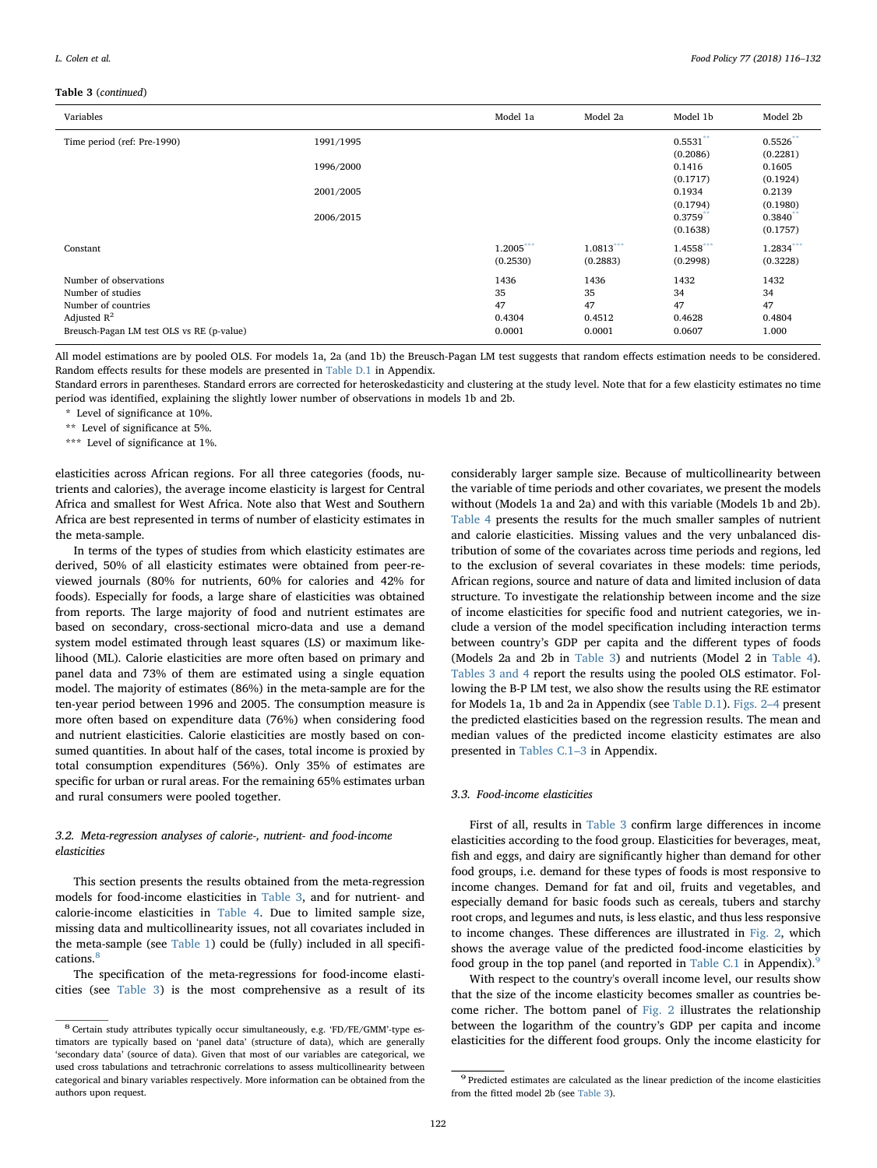#### Table 3 (continued)

| Variables                                   |           | Model 1a                | Model 2a                | Model 1b                | Model 2b                 |
|---------------------------------------------|-----------|-------------------------|-------------------------|-------------------------|--------------------------|
| Time period (ref: Pre-1990)                 | 1991/1995 |                         |                         | $0.5531$ **             | $0.5526$ **              |
|                                             | 1996/2000 |                         |                         | (0.2086)<br>0.1416      | (0.2281)<br>0.1605       |
|                                             | 2001/2005 |                         |                         | (0.1717)<br>0.1934      | (0.1924)<br>0.2139       |
|                                             | 2006/2015 |                         |                         | (0.1794)<br>0.3759      | (0.1980)<br>$0.3840^{*}$ |
|                                             |           |                         |                         | (0.1638)                | (0.1757)                 |
| Constant                                    |           | $1.2005***$<br>(0.2530) | $1.0813***$<br>(0.2883) | $1.4558***$<br>(0.2998) | 1.2834***<br>(0.3228)    |
| Number of observations<br>Number of studies |           | 1436<br>35              | 1436<br>35              | 1432<br>34              | 1432<br>34               |
| Number of countries<br>Adjusted $R^2$       |           | 47<br>0.4304            | 47<br>0.4512            | 47<br>0.4628            | 47<br>0.4804             |
| Breusch-Pagan LM test OLS vs RE (p-value)   |           | 0.0001                  | 0.0001                  | 0.0607                  | 1.000                    |

All model estimations are by pooled OLS. For models 1a, 2a (and 1b) the Breusch-Pagan LM test suggests that random effects estimation needs to be considered. Random effects results for these models are presented in [Table D.1](#page-13-1) in Appendix.

Standard errors in parentheses. Standard errors are corrected for heteroskedasticity and clustering at the study level. Note that for a few elasticity estimates no time period was identified, explaining the slightly lower number of observations in models 1b and 2b.

<span id="page-6-0"></span>\* Level of significance at 10%.

<span id="page-6-2"></span>\*\* Level of significance at 5%.

<span id="page-6-1"></span>\*\*\* Level of significance at 1%.

elasticities across African regions. For all three categories (foods, nutrients and calories), the average income elasticity is largest for Central Africa and smallest for West Africa. Note also that West and Southern Africa are best represented in terms of number of elasticity estimates in the meta-sample.

In terms of the types of studies from which elasticity estimates are derived, 50% of all elasticity estimates were obtained from peer-reviewed journals (80% for nutrients, 60% for calories and 42% for foods). Especially for foods, a large share of elasticities was obtained from reports. The large majority of food and nutrient estimates are based on secondary, cross-sectional micro-data and use a demand system model estimated through least squares (LS) or maximum likelihood (ML). Calorie elasticities are more often based on primary and panel data and 73% of them are estimated using a single equation model. The majority of estimates (86%) in the meta-sample are for the ten-year period between 1996 and 2005. The consumption measure is more often based on expenditure data (76%) when considering food and nutrient elasticities. Calorie elasticities are mostly based on consumed quantities. In about half of the cases, total income is proxied by total consumption expenditures (56%). Only 35% of estimates are specific for urban or rural areas. For the remaining 65% estimates urban and rural consumers were pooled together.

## 3.2. Meta-regression analyses of calorie-, nutrient- and food-income elasticities

This section presents the results obtained from the meta-regression models for food-income elasticities in [Table 3](#page-5-0), and for nutrient- and calorie-income elasticities in [Table 4.](#page-7-0) Due to limited sample size, missing data and multicollinearity issues, not all covariates included in the meta-sample (see [Table 1](#page-2-0)) could be (fully) included in all specifi-cations.<sup>[8](#page-6-3)</sup>

The specification of the meta-regressions for food-income elasticities (see [Table 3\)](#page-5-0) is the most comprehensive as a result of its considerably larger sample size. Because of multicollinearity between the variable of time periods and other covariates, we present the models without (Models 1a and 2a) and with this variable (Models 1b and 2b). [Table 4](#page-7-0) presents the results for the much smaller samples of nutrient and calorie elasticities. Missing values and the very unbalanced distribution of some of the covariates across time periods and regions, led to the exclusion of several covariates in these models: time periods, African regions, source and nature of data and limited inclusion of data structure. To investigate the relationship between income and the size of income elasticities for specific food and nutrient categories, we include a version of the model specification including interaction terms between country's GDP per capita and the different types of foods (Models 2a and 2b in [Table 3](#page-5-0)) and nutrients (Model 2 in [Table 4](#page-7-0)). [Tables 3 and 4](#page-5-0) report the results using the pooled OLS estimator. Following the B-P LM test, we also show the results using the RE estimator for Models 1a, 1b and 2a in Appendix (see [Table D.1\)](#page-13-1). [Figs. 2](#page-7-1)–4 present the predicted elasticities based on the regression results. The mean and median values of the predicted income elasticity estimates are also presented in [Tables C.1](#page-12-0)–3 in Appendix.

## 3.3. Food-income elasticities

First of all, results in [Table 3](#page-5-0) confirm large differences in income elasticities according to the food group. Elasticities for beverages, meat, fish and eggs, and dairy are significantly higher than demand for other food groups, i.e. demand for these types of foods is most responsive to income changes. Demand for fat and oil, fruits and vegetables, and especially demand for basic foods such as cereals, tubers and starchy root crops, and legumes and nuts, is less elastic, and thus less responsive to income changes. These differences are illustrated in [Fig. 2](#page-7-1), which shows the average value of the predicted food-income elasticities by food group in the top panel (and reported in [Table C.1](#page-12-0) in Appendix).

With respect to the country's overall income level, our results show that the size of the income elasticity becomes smaller as countries become richer. The bottom panel of [Fig. 2](#page-7-1) illustrates the relationship between the logarithm of the country's GDP per capita and income elasticities for the different food groups. Only the income elasticity for

<span id="page-6-3"></span><sup>8</sup> Certain study attributes typically occur simultaneously, e.g. 'FD/FE/GMM'-type estimators are typically based on 'panel data' (structure of data), which are generally 'secondary data' (source of data). Given that most of our variables are categorical, we used cross tabulations and tetrachronic correlations to assess multicollinearity between categorical and binary variables respectively. More information can be obtained from the authors upon request.

<span id="page-6-4"></span> $^9$  Predicted estimates are calculated as the linear prediction of the income elasticities from the fitted model 2b (see [Table 3\)](#page-5-0).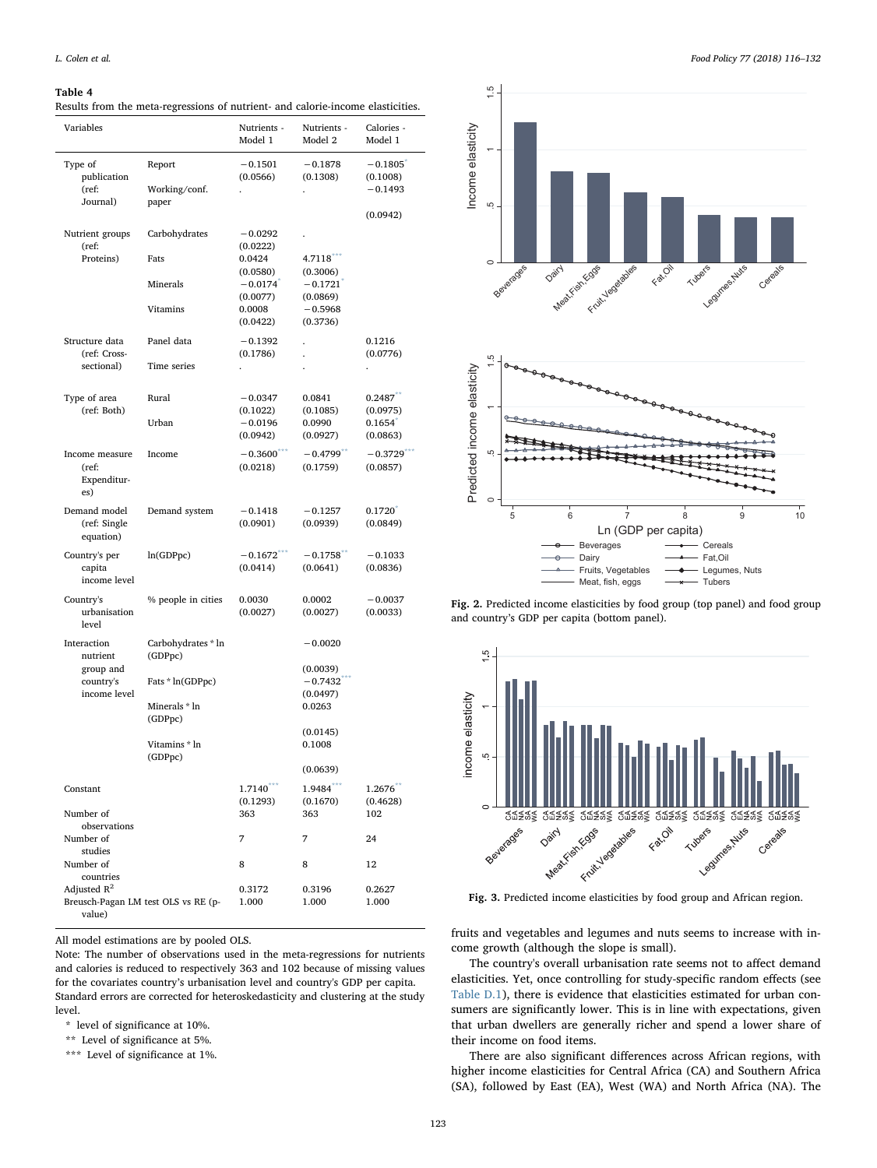<span id="page-7-0"></span>Results from the meta-regressions of nutrient- and calorie-income elasticities.

| Variables                 |                                     | Nutrients -<br>Model 1 | Nutrients -<br>Model 2 | Calories -<br>Model 1  |
|---------------------------|-------------------------------------|------------------------|------------------------|------------------------|
| Type of                   | Report                              | $-0.1501$              | $-0.1878$              | $-0.1805$ <sup>*</sup> |
| publication               |                                     | (0.0566)               | (0.1308)               | (0.1008)               |
| (ref:<br>Journal)         | Working/conf.<br>paper              |                        |                        | $-0.1493$              |
|                           |                                     |                        |                        | (0.0942)               |
| Nutrient groups           | Carbohydrates                       | $-0.0292$              |                        |                        |
| (ref:<br>Proteins)        | Fats                                | (0.0222)<br>0.0424     | $4.7118***$            |                        |
|                           |                                     | (0.0580)               | (0.3006)               |                        |
|                           | Minerals                            | $-0.0174$              | $-0.1721$ <sup>*</sup> |                        |
|                           | Vitamins                            | (0.0077)<br>0.0008     | (0.0869)<br>$-0.5968$  |                        |
|                           |                                     | (0.0422)               | (0.3736)               |                        |
| Structure data            | Panel data                          | $-0.1392$              |                        | 0.1216                 |
| (ref: Cross-              |                                     | (0.1786)               |                        | (0.0776)               |
| sectional)                | Time series                         |                        |                        |                        |
| Type of area              | Rural                               | $-0.0347$              | 0.0841                 | 0.2487                 |
| (ref: Both)               |                                     | (0.1022)               | (0.1085)               | (0.0975)               |
|                           | Urban                               | $-0.0196$<br>(0.0942)  | 0.0990<br>(0.0927)     | 0.1654<br>(0.0863)     |
| Income measure            | Income                              | $-0.3600$              | $-0.4799$              | $-0.3729$              |
| (ref:                     |                                     | (0.0218)               | (0.1759)               | (0.0857)               |
| Expenditur-<br>es)        |                                     |                        |                        |                        |
| Demand model              | Demand system                       | $-0.1418$              | $-0.1257$              | 0.1720                 |
| (ref: Single<br>equation) |                                     | (0.0901)               | (0.0939)               | (0.0849)               |
| Country's per             | ln(GDPpc)                           | $-0.1672$              | $-0.1758$              | $-0.1033$              |
| capita<br>income level    |                                     | (0.0414)               | (0.0641)               | (0.0836)               |
|                           |                                     | 0.0030                 | 0.0002                 |                        |
| Country's<br>urbanisation | % people in cities                  | (0.0027)               | (0.0027)               | $-0.0037$<br>(0.0033)  |
| level                     |                                     |                        |                        |                        |
| Interaction<br>nutrient   | Carbohydrates * ln<br>(GDPpc)       |                        | $-0.0020$              |                        |
| group and                 |                                     |                        | (0.0039)               |                        |
| country's<br>income level | Fats * ln(GDPpc)                    |                        | $-0.7432$<br>(0.0497)  |                        |
|                           | Minerals * ln                       |                        | 0.0263                 |                        |
|                           | (GDPpc)                             |                        | (0.0145)               |                        |
|                           | Vitamins * ln                       |                        | 0.1008                 |                        |
|                           | (GDPpc)                             |                        |                        |                        |
|                           |                                     |                        | (0.0639)               |                        |
| Constant                  |                                     | 1.7140<br>(0.1293)     | 1.9484<br>(0.1670)     | 1.2676<br>(0.4628)     |
| Number of                 |                                     | 363                    | 363                    | 102                    |
| observations<br>Number of |                                     | 7                      | 7                      | 24                     |
| studies                   |                                     |                        |                        |                        |
| Number of<br>countries    |                                     | 8                      | 8                      | 12                     |
| Adjusted $R^2$            |                                     | 0.3172                 | 0.3196                 | 0.2627                 |
|                           | Breusch-Pagan LM test OLS vs RE (p- | 1.000                  | 1.000                  | 1.000                  |
| value)                    |                                     |                        |                        |                        |

All model estimations are by pooled OLS.

Note: The number of observations used in the meta-regressions for nutrients and calories is reduced to respectively 363 and 102 because of missing values for the covariates country's urbanisation level and country's GDP per capita. Standard errors are corrected for heteroskedasticity and clustering at the study level.

<span id="page-7-2"></span>\* level of significance at 10%.

<span id="page-7-4"></span>\*\* Level of significance at 5%.

<span id="page-7-3"></span>\*\*\* Level of significance at 1%.

<span id="page-7-1"></span>



Fig. 2. Predicted income elasticities by food group (top panel) and food group and country's GDP per capita (bottom panel).

<span id="page-7-5"></span>

Fig. 3. Predicted income elasticities by food group and African region.

fruits and vegetables and legumes and nuts seems to increase with income growth (although the slope is small).

The country's overall urbanisation rate seems not to affect demand elasticities. Yet, once controlling for study-specific random effects (see [Table D.1](#page-13-1)), there is evidence that elasticities estimated for urban consumers are significantly lower. This is in line with expectations, given that urban dwellers are generally richer and spend a lower share of their income on food items.

There are also significant differences across African regions, with higher income elasticities for Central Africa (CA) and Southern Africa (SA), followed by East (EA), West (WA) and North Africa (NA). The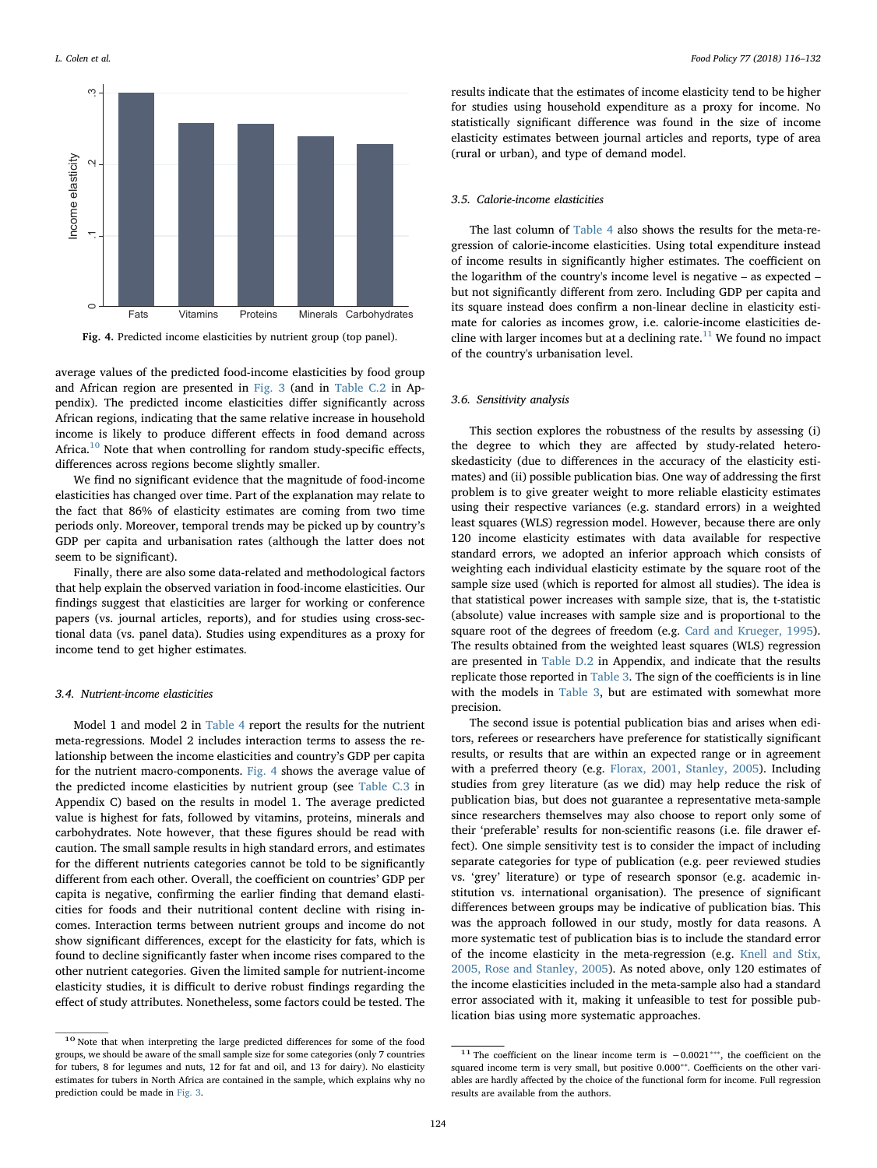<span id="page-8-1"></span>

Fig. 4. Predicted income elasticities by nutrient group (top panel).

average values of the predicted food-income elasticities by food group and African region are presented in [Fig. 3](#page-7-5) (and in [Table C.2](#page-13-2) in Appendix). The predicted income elasticities differ significantly across African regions, indicating that the same relative increase in household income is likely to produce different effects in food demand across Africa. $^{10}$  $^{10}$  $^{10}$  Note that when controlling for random study-specific effects, differences across regions become slightly smaller.

We find no significant evidence that the magnitude of food-income elasticities has changed over time. Part of the explanation may relate to the fact that 86% of elasticity estimates are coming from two time periods only. Moreover, temporal trends may be picked up by country's GDP per capita and urbanisation rates (although the latter does not seem to be significant).

Finally, there are also some data-related and methodological factors that help explain the observed variation in food-income elasticities. Our findings suggest that elasticities are larger for working or conference papers (vs. journal articles, reports), and for studies using cross-sectional data (vs. panel data). Studies using expenditures as a proxy for income tend to get higher estimates.

#### 3.4. Nutrient-income elasticities

Model 1 and model 2 in [Table 4](#page-7-0) report the results for the nutrient meta-regressions. Model 2 includes interaction terms to assess the relationship between the income elasticities and country's GDP per capita for the nutrient macro-components. [Fig. 4](#page-8-1) shows the average value of the predicted income elasticities by nutrient group (see [Table C.3](#page-13-3) in Appendix C) based on the results in model 1. The average predicted value is highest for fats, followed by vitamins, proteins, minerals and carbohydrates. Note however, that these figures should be read with caution. The small sample results in high standard errors, and estimates for the different nutrients categories cannot be told to be significantly different from each other. Overall, the coefficient on countries' GDP per capita is negative, confirming the earlier finding that demand elasticities for foods and their nutritional content decline with rising incomes. Interaction terms between nutrient groups and income do not show significant differences, except for the elasticity for fats, which is found to decline significantly faster when income rises compared to the other nutrient categories. Given the limited sample for nutrient-income elasticity studies, it is difficult to derive robust findings regarding the effect of study attributes. Nonetheless, some factors could be tested. The results indicate that the estimates of income elasticity tend to be higher for studies using household expenditure as a proxy for income. No statistically significant difference was found in the size of income elasticity estimates between journal articles and reports, type of area (rural or urban), and type of demand model.

### 3.5. Calorie-income elasticities

The last column of [Table 4](#page-7-0) also shows the results for the meta-regression of calorie-income elasticities. Using total expenditure instead of income results in significantly higher estimates. The coefficient on the logarithm of the country's income level is negative – as expected – but not significantly different from zero. Including GDP per capita and its square instead does confirm a non-linear decline in elasticity estimate for calories as incomes grow, i.e. calorie-income elasticities de-cline with larger incomes but at a declining rate.<sup>[11](#page-8-2)</sup> We found no impact of the country's urbanisation level.

#### 3.6. Sensitivity analysis

This section explores the robustness of the results by assessing (i) the degree to which they are affected by study-related heteroskedasticity (due to differences in the accuracy of the elasticity estimates) and (ii) possible publication bias. One way of addressing the first problem is to give greater weight to more reliable elasticity estimates using their respective variances (e.g. standard errors) in a weighted least squares (WLS) regression model. However, because there are only 120 income elasticity estimates with data available for respective standard errors, we adopted an inferior approach which consists of weighting each individual elasticity estimate by the square root of the sample size used (which is reported for almost all studies). The idea is that statistical power increases with sample size, that is, the t-statistic (absolute) value increases with sample size and is proportional to the square root of the degrees of freedom (e.g. [Card and Krueger, 1995](#page-16-24)). The results obtained from the weighted least squares (WLS) regression are presented in [Table D.2](#page-15-0) in Appendix, and indicate that the results replicate those reported in [Table 3](#page-5-0). The sign of the coefficients is in line with the models in [Table 3](#page-5-0), but are estimated with somewhat more precision.

The second issue is potential publication bias and arises when editors, referees or researchers have preference for statistically significant results, or results that are within an expected range or in agreement with a preferred theory (e.g. [Florax, 2001, Stanley, 2005\)](#page-16-25). Including studies from grey literature (as we did) may help reduce the risk of publication bias, but does not guarantee a representative meta-sample since researchers themselves may also choose to report only some of their 'preferable' results for non-scientific reasons (i.e. file drawer effect). One simple sensitivity test is to consider the impact of including separate categories for type of publication (e.g. peer reviewed studies vs. 'grey' literature) or type of research sponsor (e.g. academic institution vs. international organisation). The presence of significant differences between groups may be indicative of publication bias. This was the approach followed in our study, mostly for data reasons. A more systematic test of publication bias is to include the standard error of the income elasticity in the meta-regression (e.g. [Knell and Stix,](#page-16-26) [2005, Rose and Stanley, 2005](#page-16-26)). As noted above, only 120 estimates of the income elasticities included in the meta-sample also had a standard error associated with it, making it unfeasible to test for possible publication bias using more systematic approaches.

<span id="page-8-0"></span><sup>&</sup>lt;sup>10</sup> Note that when interpreting the large predicted differences for some of the food groups, we should be aware of the small sample size for some categories (only 7 countries for tubers, 8 for legumes and nuts, 12 for fat and oil, and 13 for dairy). No elasticity estimates for tubers in North Africa are contained in the sample, which explains why no prediction could be made in [Fig. 3](#page-7-5).

<span id="page-8-2"></span><sup>&</sup>lt;sup>11</sup> The coefficient on the linear income term is  $-0.0021$ <sup>\*\*\*</sup>, the coefficient on the squared income term is very small, but positive 0.000<sup>\*\*</sup>. Coefficients on the other variables are hardly affected by the choice of the functional form for income. Full regression results are available from the authors.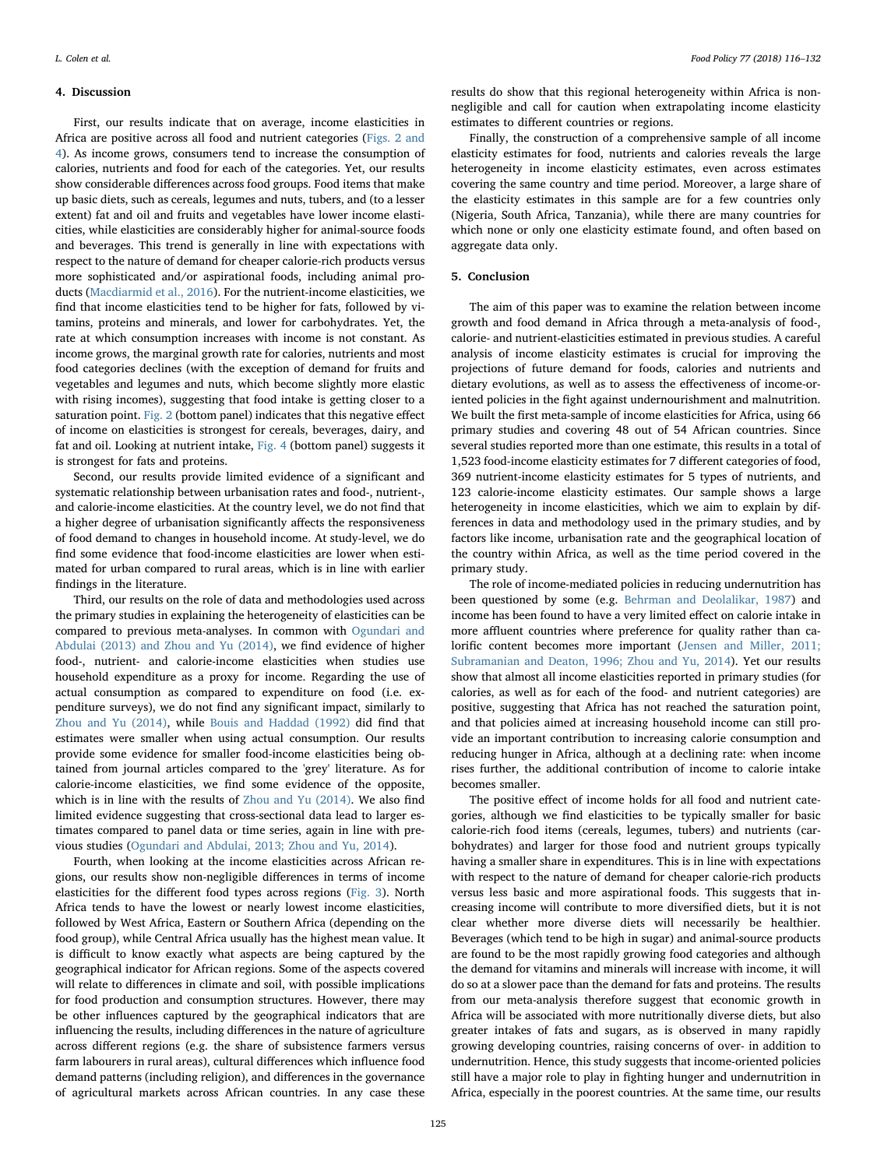#### <span id="page-9-0"></span>4. Discussion

First, our results indicate that on average, income elasticities in Africa are positive across all food and nutrient categories [\(Figs. 2 and](#page-7-1) [4](#page-7-1)). As income grows, consumers tend to increase the consumption of calories, nutrients and food for each of the categories. Yet, our results show considerable differences across food groups. Food items that make up basic diets, such as cereals, legumes and nuts, tubers, and (to a lesser extent) fat and oil and fruits and vegetables have lower income elasticities, while elasticities are considerably higher for animal-source foods and beverages. This trend is generally in line with expectations with respect to the nature of demand for cheaper calorie-rich products versus more sophisticated and/or aspirational foods, including animal products [\(Macdiarmid et al., 2016\)](#page-16-27). For the nutrient-income elasticities, we find that income elasticities tend to be higher for fats, followed by vitamins, proteins and minerals, and lower for carbohydrates. Yet, the rate at which consumption increases with income is not constant. As income grows, the marginal growth rate for calories, nutrients and most food categories declines (with the exception of demand for fruits and vegetables and legumes and nuts, which become slightly more elastic with rising incomes), suggesting that food intake is getting closer to a saturation point. [Fig. 2](#page-7-1) (bottom panel) indicates that this negative effect of income on elasticities is strongest for cereals, beverages, dairy, and fat and oil. Looking at nutrient intake, [Fig. 4](#page-8-1) (bottom panel) suggests it is strongest for fats and proteins.

Second, our results provide limited evidence of a significant and systematic relationship between urbanisation rates and food-, nutrient-, and calorie-income elasticities. At the country level, we do not find that a higher degree of urbanisation significantly affects the responsiveness of food demand to changes in household income. At study-level, we do find some evidence that food-income elasticities are lower when estimated for urban compared to rural areas, which is in line with earlier findings in the literature.

Third, our results on the role of data and methodologies used across the primary studies in explaining the heterogeneity of elasticities can be compared to previous meta-analyses. In common with [Ogundari and](#page-16-14) [Abdulai \(2013\) and Zhou and Yu \(2014\),](#page-16-14) we find evidence of higher food-, nutrient- and calorie-income elasticities when studies use household expenditure as a proxy for income. Regarding the use of actual consumption as compared to expenditure on food (i.e. expenditure surveys), we do not find any significant impact, similarly to [Zhou and Yu \(2014\)](#page-16-11), while [Bouis and Haddad \(1992\)](#page-16-10) did find that estimates were smaller when using actual consumption. Our results provide some evidence for smaller food-income elasticities being obtained from journal articles compared to the 'grey' literature. As for calorie-income elasticities, we find some evidence of the opposite, which is in line with the results of [Zhou and Yu \(2014\)](#page-16-11). We also find limited evidence suggesting that cross-sectional data lead to larger estimates compared to panel data or time series, again in line with previous studies ([Ogundari and Abdulai, 2013; Zhou and Yu, 2014\)](#page-16-14).

Fourth, when looking at the income elasticities across African regions, our results show non-negligible differences in terms of income elasticities for the different food types across regions [\(Fig. 3](#page-7-5)). North Africa tends to have the lowest or nearly lowest income elasticities, followed by West Africa, Eastern or Southern Africa (depending on the food group), while Central Africa usually has the highest mean value. It is difficult to know exactly what aspects are being captured by the geographical indicator for African regions. Some of the aspects covered will relate to differences in climate and soil, with possible implications for food production and consumption structures. However, there may be other influences captured by the geographical indicators that are influencing the results, including differences in the nature of agriculture across different regions (e.g. the share of subsistence farmers versus farm labourers in rural areas), cultural differences which influence food demand patterns (including religion), and differences in the governance of agricultural markets across African countries. In any case these

results do show that this regional heterogeneity within Africa is nonnegligible and call for caution when extrapolating income elasticity estimates to different countries or regions.

Finally, the construction of a comprehensive sample of all income elasticity estimates for food, nutrients and calories reveals the large heterogeneity in income elasticity estimates, even across estimates covering the same country and time period. Moreover, a large share of the elasticity estimates in this sample are for a few countries only (Nigeria, South Africa, Tanzania), while there are many countries for which none or only one elasticity estimate found, and often based on aggregate data only.

### <span id="page-9-1"></span>5. Conclusion

The aim of this paper was to examine the relation between income growth and food demand in Africa through a meta-analysis of food-, calorie- and nutrient-elasticities estimated in previous studies. A careful analysis of income elasticity estimates is crucial for improving the projections of future demand for foods, calories and nutrients and dietary evolutions, as well as to assess the effectiveness of income-oriented policies in the fight against undernourishment and malnutrition. We built the first meta-sample of income elasticities for Africa, using 66 primary studies and covering 48 out of 54 African countries. Since several studies reported more than one estimate, this results in a total of 1,523 food-income elasticity estimates for 7 different categories of food, 369 nutrient-income elasticity estimates for 5 types of nutrients, and 123 calorie-income elasticity estimates. Our sample shows a large heterogeneity in income elasticities, which we aim to explain by differences in data and methodology used in the primary studies, and by factors like income, urbanisation rate and the geographical location of the country within Africa, as well as the time period covered in the primary study.

The role of income-mediated policies in reducing undernutrition has been questioned by some (e.g. [Behrman and Deolalikar, 1987\)](#page-16-3) and income has been found to have a very limited effect on calorie intake in more affluent countries where preference for quality rather than calorific content becomes more important [\(Jensen and Miller, 2011;](#page-16-28) [Subramanian and Deaton, 1996; Zhou and Yu, 2014](#page-16-28)). Yet our results show that almost all income elasticities reported in primary studies (for calories, as well as for each of the food- and nutrient categories) are positive, suggesting that Africa has not reached the saturation point, and that policies aimed at increasing household income can still provide an important contribution to increasing calorie consumption and reducing hunger in Africa, although at a declining rate: when income rises further, the additional contribution of income to calorie intake becomes smaller.

The positive effect of income holds for all food and nutrient categories, although we find elasticities to be typically smaller for basic calorie-rich food items (cereals, legumes, tubers) and nutrients (carbohydrates) and larger for those food and nutrient groups typically having a smaller share in expenditures. This is in line with expectations with respect to the nature of demand for cheaper calorie-rich products versus less basic and more aspirational foods. This suggests that increasing income will contribute to more diversified diets, but it is not clear whether more diverse diets will necessarily be healthier. Beverages (which tend to be high in sugar) and animal-source products are found to be the most rapidly growing food categories and although the demand for vitamins and minerals will increase with income, it will do so at a slower pace than the demand for fats and proteins. The results from our meta-analysis therefore suggest that economic growth in Africa will be associated with more nutritionally diverse diets, but also greater intakes of fats and sugars, as is observed in many rapidly growing developing countries, raising concerns of over- in addition to undernutrition. Hence, this study suggests that income-oriented policies still have a major role to play in fighting hunger and undernutrition in Africa, especially in the poorest countries. At the same time, our results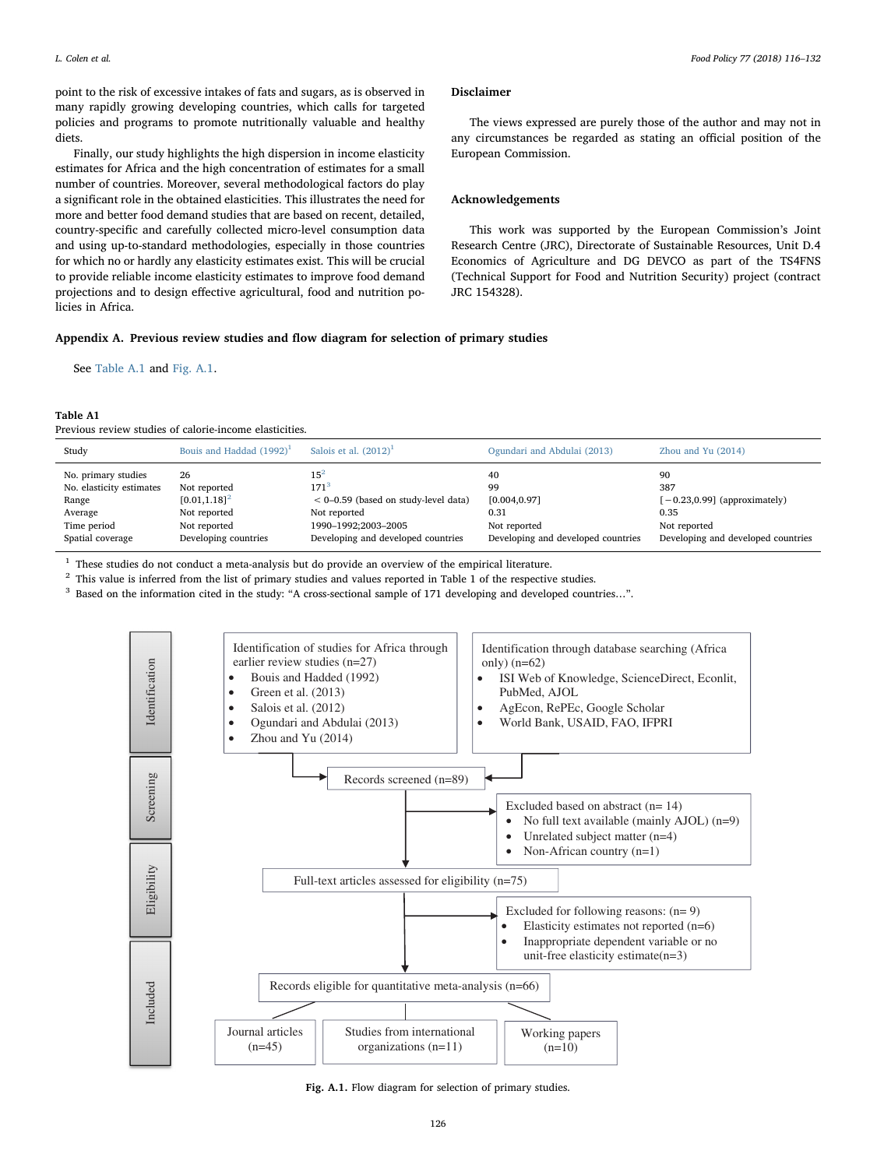point to the risk of excessive intakes of fats and sugars, as is observed in many rapidly growing developing countries, which calls for targeted policies and programs to promote nutritionally valuable and healthy diets.

Finally, our study highlights the high dispersion in income elasticity estimates for Africa and the high concentration of estimates for a small number of countries. Moreover, several methodological factors do play a significant role in the obtained elasticities. This illustrates the need for more and better food demand studies that are based on recent, detailed, country-specific and carefully collected micro-level consumption data and using up-to-standard methodologies, especially in those countries for which no or hardly any elasticity estimates exist. This will be crucial to provide reliable income elasticity estimates to improve food demand projections and to design effective agricultural, food and nutrition policies in Africa.

## Disclaimer

The views expressed are purely those of the author and may not in any circumstances be regarded as stating an official position of the European Commission.

## Acknowledgements

This work was supported by the European Commission's Joint Research Centre (JRC), Directorate of Sustainable Resources, Unit D.4 Economics of Agriculture and DG DEVCO as part of the TS4FNS (Technical Support for Food and Nutrition Security) project (contract JRC 154328).

## Appendix A. Previous review studies and flow diagram for selection of primary studies

See [Table A.1](#page-10-0) and [Fig. A.1](#page-10-1).

#### <span id="page-10-0"></span>Table A1

Previous review studies of calorie-income elasticities.

| Study                    | Bouis and Haddad $(1992)^1$ | Salois et al. $(2012)^1$               | Ogundari and Abdulai (2013)        | Zhou and Yu $(2014)$               |
|--------------------------|-----------------------------|----------------------------------------|------------------------------------|------------------------------------|
| No. primary studies      | 26                          | $15^{2}$                               | 40                                 | 90                                 |
| No. elasticity estimates | Not reported                | 171 <sup>3</sup>                       | 99                                 | 387                                |
| Range                    | $[0.01, 1.18]^{2}$          | $< 0-0.59$ (based on study-level data) | [0.004, 0.97]                      | $[-0.23, 0.99]$ (approximately)    |
| Average                  | Not reported                | Not reported                           | 0.31                               | 0.35                               |
| Time period              | Not reported                | 1990-1992;2003-2005                    | Not reported                       | Not reported                       |
| Spatial coverage         | Developing countries        | Developing and developed countries     | Developing and developed countries | Developing and developed countries |

<span id="page-10-2"></span><sup>1</sup> These studies do not conduct a meta-analysis but do provide an overview of the empirical literature.

<span id="page-10-3"></span><sup>2</sup> This value is inferred from the list of primary studies and values reported in Table 1 of the respective studies.

<span id="page-10-4"></span><span id="page-10-1"></span><sup>3</sup> Based on the information cited in the study: "A cross-sectional sample of 171 developing and developed countries...".



Fig. A.1. Flow diagram for selection of primary studies.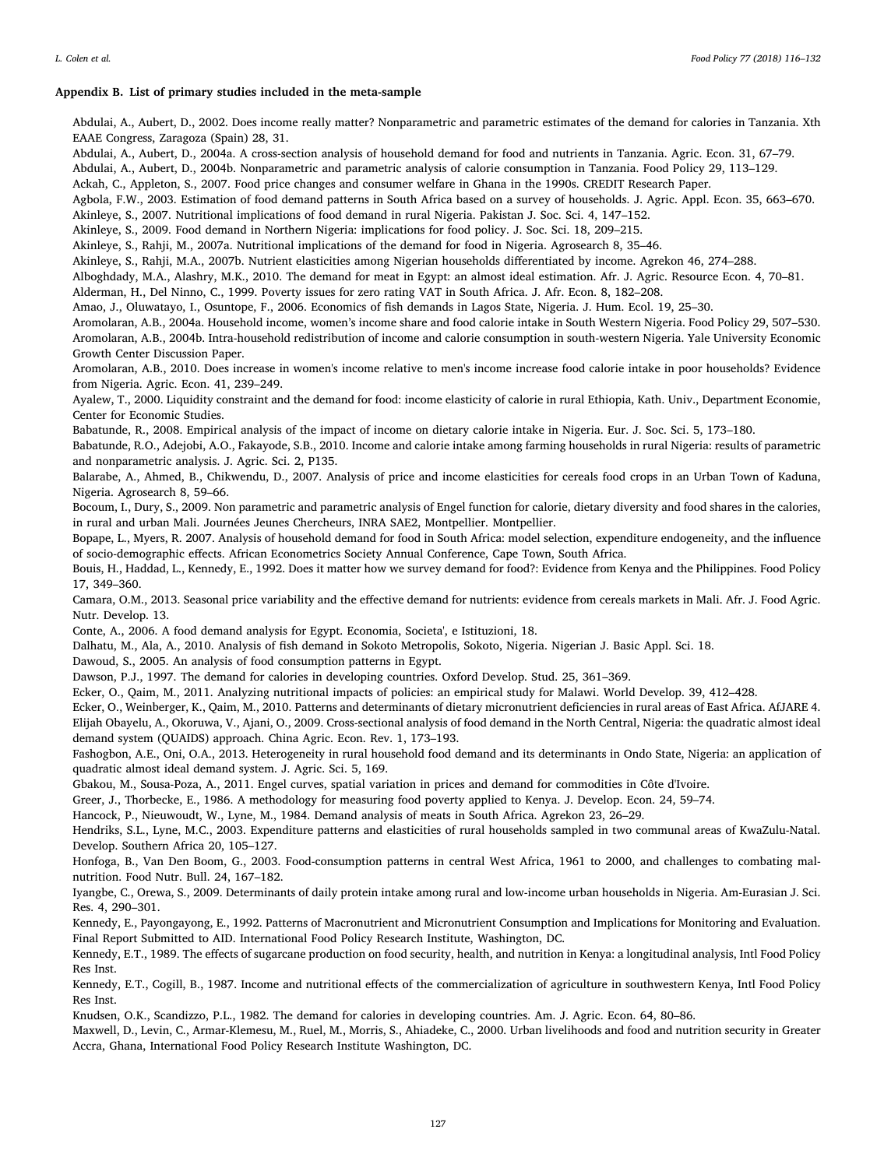Growth Center Discussion Paper.

## <span id="page-11-0"></span>Appendix B. List of primary studies included in the meta-sample

Abdulai, A., Aubert, D., 2002. Does income really matter? Nonparametric and parametric estimates of the demand for calories in Tanzania. Xth EAAE Congress, Zaragoza (Spain) 28, 31.

Abdulai, A., Aubert, D., 2004a. A cross-section analysis of household demand for food and nutrients in Tanzania. Agric. Econ. 31, 67–79.

Abdulai, A., Aubert, D., 2004b. Nonparametric and parametric analysis of calorie consumption in Tanzania. Food Policy 29, 113–129.

Ackah, C., Appleton, S., 2007. Food price changes and consumer welfare in Ghana in the 1990s. CREDIT Research Paper.

Agbola, F.W., 2003. Estimation of food demand patterns in South Africa based on a survey of households. J. Agric. Appl. Econ. 35, 663–670.

Akinleye, S., 2007. Nutritional implications of food demand in rural Nigeria. Pakistan J. Soc. Sci. 4, 147–152.

Akinleye, S., 2009. Food demand in Northern Nigeria: implications for food policy. J. Soc. Sci. 18, 209–215.

Akinleye, S., Rahji, M., 2007a. Nutritional implications of the demand for food in Nigeria. Agrosearch 8, 35–46.

Akinleye, S., Rahji, M.A., 2007b. Nutrient elasticities among Nigerian households differentiated by income. Agrekon 46, 274–288.

Alboghdady, M.A., Alashry, M.K., 2010. The demand for meat in Egypt: an almost ideal estimation. Afr. J. Agric. Resource Econ. 4, 70–81.

Alderman, H., Del Ninno, C., 1999. Poverty issues for zero rating VAT in South Africa. J. Afr. Econ. 8, 182–208.

Amao, J., Oluwatayo, I., Osuntope, F., 2006. Economics of fish demands in Lagos State, Nigeria. J. Hum. Ecol. 19, 25–30.

Aromolaran, A.B., 2004a. Household income, women's income share and food calorie intake in South Western Nigeria. Food Policy 29, 507–530. Aromolaran, A.B., 2004b. Intra-household redistribution of income and calorie consumption in south-western Nigeria. Yale University Economic

Aromolaran, A.B., 2010. Does increase in women's income relative to men's income increase food calorie intake in poor households? Evidence from Nigeria. Agric. Econ. 41, 239–249.

Ayalew, T., 2000. Liquidity constraint and the demand for food: income elasticity of calorie in rural Ethiopia, Kath. Univ., Department Economie, Center for Economic Studies.

Babatunde, R., 2008. Empirical analysis of the impact of income on dietary calorie intake in Nigeria. Eur. J. Soc. Sci. 5, 173–180.

Babatunde, R.O., Adejobi, A.O., Fakayode, S.B., 2010. Income and calorie intake among farming households in rural Nigeria: results of parametric and nonparametric analysis. J. Agric. Sci. 2, P135.

Balarabe, A., Ahmed, B., Chikwendu, D., 2007. Analysis of price and income elasticities for cereals food crops in an Urban Town of Kaduna, Nigeria. Agrosearch 8, 59–66.

Bocoum, I., Dury, S., 2009. Non parametric and parametric analysis of Engel function for calorie, dietary diversity and food shares in the calories, in rural and urban Mali. Journées Jeunes Chercheurs, INRA SAE2, Montpellier. Montpellier.

Bopape, L., Myers, R. 2007. Analysis of household demand for food in South Africa: model selection, expenditure endogeneity, and the influence of socio-demographic effects. African Econometrics Society Annual Conference, Cape Town, South Africa.

Bouis, H., Haddad, L., Kennedy, E., 1992. Does it matter how we survey demand for food?: Evidence from Kenya and the Philippines. Food Policy 17, 349–360.

Camara, O.M., 2013. Seasonal price variability and the effective demand for nutrients: evidence from cereals markets in Mali. Afr. J. Food Agric. Nutr. Develop. 13.

Conte, A., 2006. A food demand analysis for Egypt. Economia, Societa', e Istituzioni, 18.

Dalhatu, M., Ala, A., 2010. Analysis of fish demand in Sokoto Metropolis, Sokoto, Nigeria. Nigerian J. Basic Appl. Sci. 18.

Dawoud, S., 2005. An analysis of food consumption patterns in Egypt.

Dawson, P.J., 1997. The demand for calories in developing countries. Oxford Develop. Stud. 25, 361–369.

Ecker, O., Qaim, M., 2011. Analyzing nutritional impacts of policies: an empirical study for Malawi. World Develop. 39, 412–428.

Ecker, O., Weinberger, K., Qaim, M., 2010. Patterns and determinants of dietary micronutrient deficiencies in rural areas of East Africa. AfJARE 4. Elijah Obayelu, A., Okoruwa, V., Ajani, O., 2009. Cross-sectional analysis of food demand in the North Central, Nigeria: the quadratic almost ideal demand system (QUAIDS) approach. China Agric. Econ. Rev. 1, 173–193.

Fashogbon, A.E., Oni, O.A., 2013. Heterogeneity in rural household food demand and its determinants in Ondo State, Nigeria: an application of quadratic almost ideal demand system. J. Agric. Sci. 5, 169.

Gbakou, M., Sousa-Poza, A., 2011. Engel curves, spatial variation in prices and demand for commodities in Côte d'Ivoire.

Greer, J., Thorbecke, E., 1986. A methodology for measuring food poverty applied to Kenya. J. Develop. Econ. 24, 59–74.

Hancock, P., Nieuwoudt, W., Lyne, M., 1984. Demand analysis of meats in South Africa. Agrekon 23, 26–29.

Hendriks, S.L., Lyne, M.C., 2003. Expenditure patterns and elasticities of rural households sampled in two communal areas of KwaZulu-Natal. Develop. Southern Africa 20, 105–127.

Honfoga, B., Van Den Boom, G., 2003. Food-consumption patterns in central West Africa, 1961 to 2000, and challenges to combating malnutrition. Food Nutr. Bull. 24, 167–182.

Iyangbe, C., Orewa, S., 2009. Determinants of daily protein intake among rural and low-income urban households in Nigeria. Am-Eurasian J. Sci. Res. 4, 290–301.

Kennedy, E., Payongayong, E., 1992. Patterns of Macronutrient and Micronutrient Consumption and Implications for Monitoring and Evaluation. Final Report Submitted to AID. International Food Policy Research Institute, Washington, DC.

Kennedy, E.T., 1989. The effects of sugarcane production on food security, health, and nutrition in Kenya: a longitudinal analysis, Intl Food Policy Res Inst.

Kennedy, E.T., Cogill, B., 1987. Income and nutritional effects of the commercialization of agriculture in southwestern Kenya, Intl Food Policy Res Inst.

Knudsen, O.K., Scandizzo, P.L., 1982. The demand for calories in developing countries. Am. J. Agric. Econ. 64, 80–86.

Maxwell, D., Levin, C., Armar-Klemesu, M., Ruel, M., Morris, S., Ahiadeke, C., 2000. Urban livelihoods and food and nutrition security in Greater Accra, Ghana, International Food Policy Research Institute Washington, DC.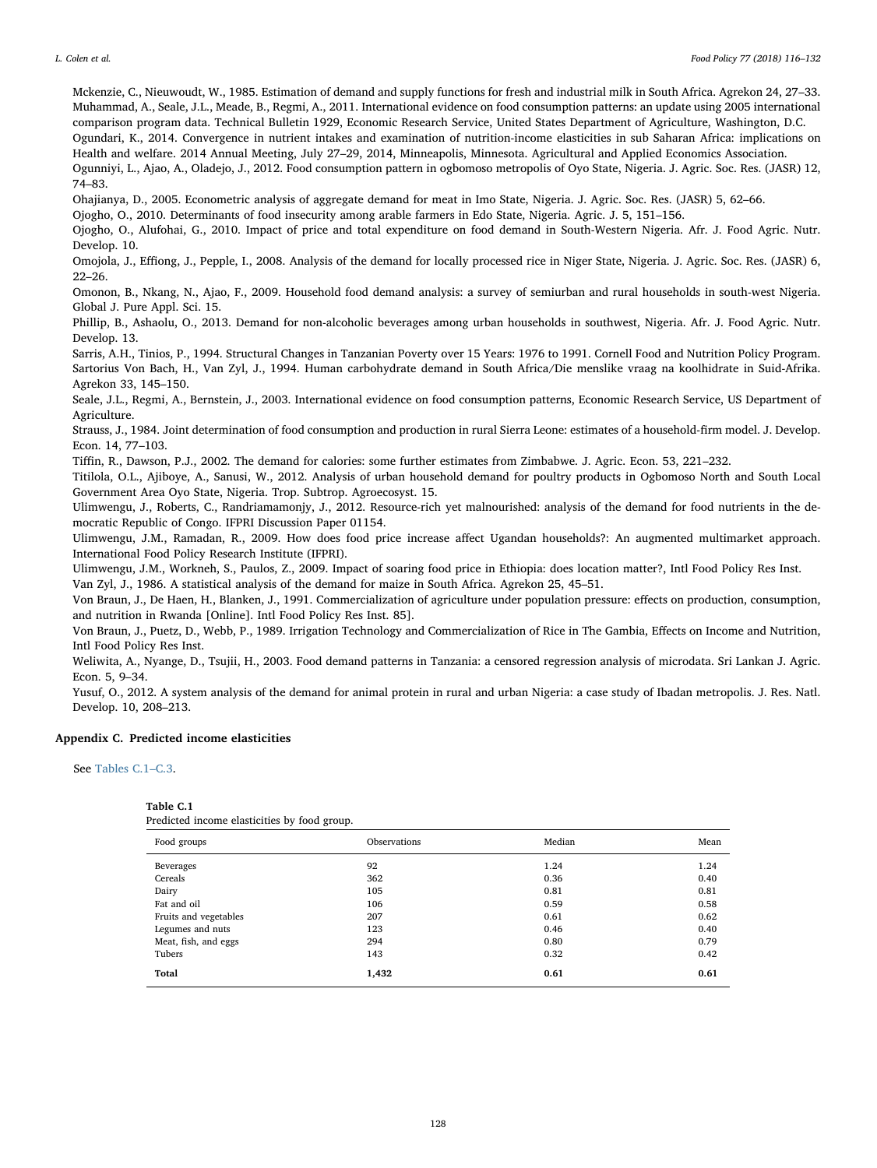Mckenzie, C., Nieuwoudt, W., 1985. Estimation of demand and supply functions for fresh and industrial milk in South Africa. Agrekon 24, 27–33. Muhammad, A., Seale, J.L., Meade, B., Regmi, A., 2011. International evidence on food consumption patterns: an update using 2005 international comparison program data. Technical Bulletin 1929, Economic Research Service, United States Department of Agriculture, Washington, D.C.

Ogundari, K., 2014. Convergence in nutrient intakes and examination of nutrition-income elasticities in sub Saharan Africa: implications on Health and welfare. 2014 Annual Meeting, July 27–29, 2014, Minneapolis, Minnesota. Agricultural and Applied Economics Association.

Ogunniyi, L., Ajao, A., Oladejo, J., 2012. Food consumption pattern in ogbomoso metropolis of Oyo State, Nigeria. J. Agric. Soc. Res. (JASR) 12, 74–83.

Ohajianya, D., 2005. Econometric analysis of aggregate demand for meat in Imo State, Nigeria. J. Agric. Soc. Res. (JASR) 5, 62–66.

Ojogho, O., 2010. Determinants of food insecurity among arable farmers in Edo State, Nigeria. Agric. J. 5, 151–156.

Ojogho, O., Alufohai, G., 2010. Impact of price and total expenditure on food demand in South-Western Nigeria. Afr. J. Food Agric. Nutr. Develop. 10.

Omojola, J., Effiong, J., Pepple, I., 2008. Analysis of the demand for locally processed rice in Niger State, Nigeria. J. Agric. Soc. Res. (JASR) 6, 22–26.

Omonon, B., Nkang, N., Ajao, F., 2009. Household food demand analysis: a survey of semiurban and rural households in south-west Nigeria. Global J. Pure Appl. Sci. 15.

Phillip, B., Ashaolu, O., 2013. Demand for non-alcoholic beverages among urban households in southwest, Nigeria. Afr. J. Food Agric. Nutr. Develop. 13.

Sarris, A.H., Tinios, P., 1994. Structural Changes in Tanzanian Poverty over 15 Years: 1976 to 1991. Cornell Food and Nutrition Policy Program. Sartorius Von Bach, H., Van Zyl, J., 1994. Human carbohydrate demand in South Africa/Die menslike vraag na koolhidrate in Suid-Afrika. Agrekon 33, 145–150.

Seale, J.L., Regmi, A., Bernstein, J., 2003. International evidence on food consumption patterns, Economic Research Service, US Department of Agriculture.

Strauss, J., 1984. Joint determination of food consumption and production in rural Sierra Leone: estimates of a household-firm model. J. Develop. Econ. 14, 77–103.

Tiffin, R., Dawson, P.J., 2002. The demand for calories: some further estimates from Zimbabwe. J. Agric. Econ. 53, 221–232.

Titilola, O.L., Ajiboye, A., Sanusi, W., 2012. Analysis of urban household demand for poultry products in Ogbomoso North and South Local Government Area Oyo State, Nigeria. Trop. Subtrop. Agroecosyst. 15.

Ulimwengu, J., Roberts, C., Randriamamonjy, J., 2012. Resource-rich yet malnourished: analysis of the demand for food nutrients in the democratic Republic of Congo. IFPRI Discussion Paper 01154.

Ulimwengu, J.M., Ramadan, R., 2009. How does food price increase affect Ugandan households?: An augmented multimarket approach. International Food Policy Research Institute (IFPRI).

Ulimwengu, J.M., Workneh, S., Paulos, Z., 2009. Impact of soaring food price in Ethiopia: does location matter?, Intl Food Policy Res Inst. Van Zyl, J., 1986. A statistical analysis of the demand for maize in South Africa. Agrekon 25, 45–51.

Von Braun, J., De Haen, H., Blanken, J., 1991. Commercialization of agriculture under population pressure: effects on production, consumption, and nutrition in Rwanda [Online]. Intl Food Policy Res Inst. 85].

Von Braun, J., Puetz, D., Webb, P., 1989. Irrigation Technology and Commercialization of Rice in The Gambia, Effects on Income and Nutrition, Intl Food Policy Res Inst.

Weliwita, A., Nyange, D., Tsujii, H., 2003. Food demand patterns in Tanzania: a censored regression analysis of microdata. Sri Lankan J. Agric. Econ. 5, 9–34.

Yusuf, O., 2012. A system analysis of the demand for animal protein in rural and urban Nigeria: a case study of Ibadan metropolis. J. Res. Natl. Develop. 10, 208–213.

## Appendix C. Predicted income elasticities

See [Tables C.1](#page-12-0)–C.3.

<span id="page-12-0"></span>

Predicted income elasticities by food group.

| Food groups           | Observations | Median | Mean |
|-----------------------|--------------|--------|------|
| Beverages             | 92           | 1.24   | 1.24 |
| Cereals               | 362          | 0.36   | 0.40 |
| Dairy                 | 105          | 0.81   | 0.81 |
| Fat and oil           | 106          | 0.59   | 0.58 |
| Fruits and vegetables | 207          | 0.61   | 0.62 |
| Legumes and nuts      | 123          | 0.46   | 0.40 |
| Meat, fish, and eggs  | 294          | 0.80   | 0.79 |
| Tubers                | 143          | 0.32   | 0.42 |
| Total                 | 1,432        | 0.61   | 0.61 |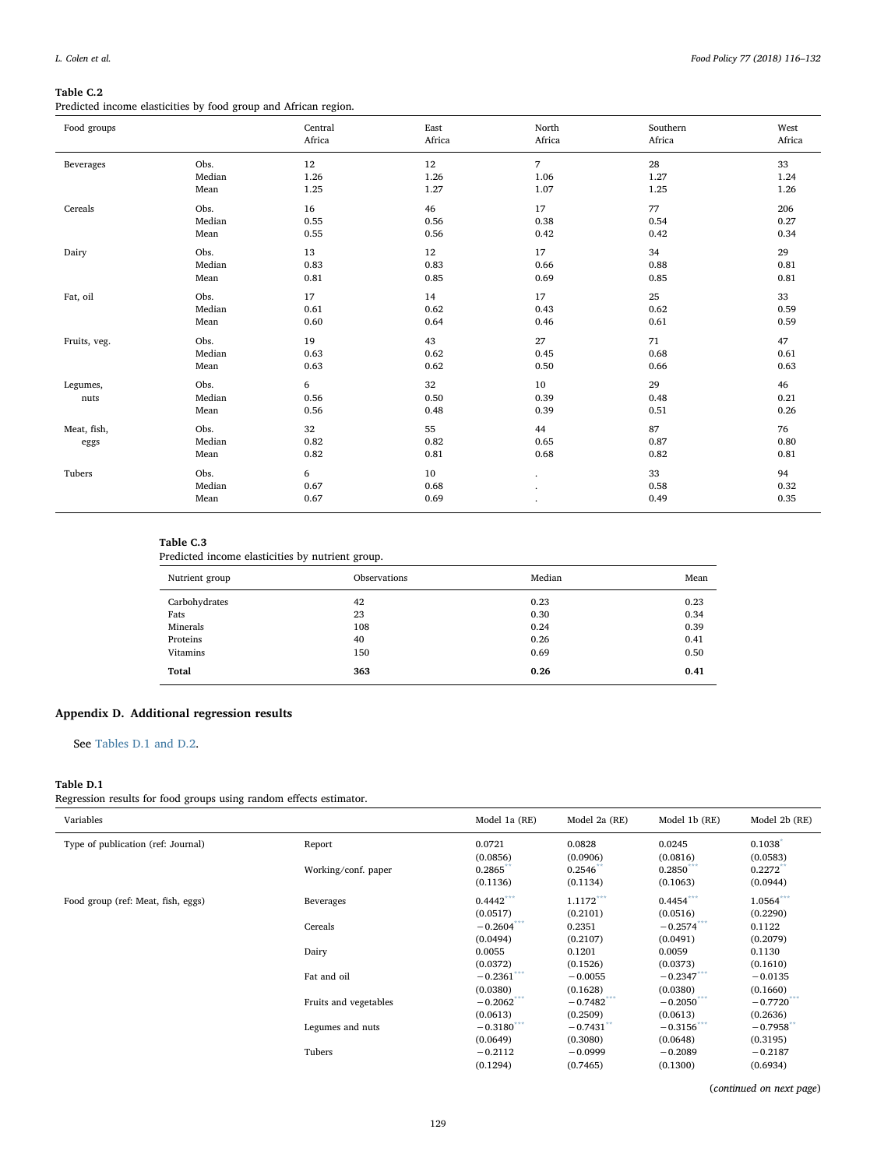# <span id="page-13-2"></span>Table C.2

Predicted income elasticities by food group and African region.

| Food groups         |                        | Central<br>Africa  | East<br>Africa     | North<br>Africa    | Southern<br>Africa | West<br>Africa     |
|---------------------|------------------------|--------------------|--------------------|--------------------|--------------------|--------------------|
| Beverages           | Obs.                   | 12                 | 12                 | $\overline{7}$     | 28                 | 33                 |
|                     | Median                 | 1.26               | 1.26               | 1.06               | 1.27               | 1.24               |
|                     | Mean                   | 1.25               | 1.27               | 1.07               | 1.25               | 1.26               |
| Cereals             | Obs.                   | 16                 | 46                 | 17                 | 77                 | 206                |
|                     | Median                 | 0.55               | 0.56               | 0.38               | 0.54               | 0.27               |
|                     | Mean                   | 0.55               | 0.56               | 0.42               | 0.42               | 0.34               |
| Dairy               | Obs.                   | 13                 | 12                 | 17                 | 34                 | 29                 |
|                     | Median                 | 0.83               | 0.83               | 0.66               | 0.88               | 0.81               |
|                     | Mean                   | 0.81               | 0.85               | 0.69               | 0.85               | 0.81               |
| Fat, oil            | Obs.                   | 17                 | 14                 | 17                 | 25                 | 33                 |
|                     | Median                 | 0.61               | 0.62               | 0.43               | 0.62               | 0.59               |
|                     | Mean                   | 0.60               | 0.64               | 0.46               | 0.61               | 0.59               |
| Fruits, veg.        | Obs.                   | 19                 | 43                 | 27                 | 71                 | 47                 |
|                     | Median                 | 0.63               | 0.62               | 0.45               | 0.68               | 0.61               |
|                     | Mean                   | 0.63               | 0.62               | 0.50               | 0.66               | 0.63               |
| Legumes,<br>nuts    | Obs.<br>Median<br>Mean | 6<br>0.56<br>0.56  | 32<br>0.50<br>0.48 | 10<br>0.39<br>0.39 | 29<br>0.48<br>0.51 | 46<br>0.21<br>0.26 |
| Meat, fish,<br>eggs | Obs.<br>Median<br>Mean | 32<br>0.82<br>0.82 | 55<br>0.82<br>0.81 | 44<br>0.65<br>0.68 | 87<br>0.87<br>0.82 | 76<br>0.80<br>0.81 |
| Tubers              | Obs.<br>Median<br>Mean | 6<br>0.67<br>0.67  | 10<br>0.68<br>0.69 | ٠                  | 33<br>0.58<br>0.49 | 94<br>0.32<br>0.35 |

## <span id="page-13-3"></span>Table C.3

Predicted income elasticities by nutrient group.

| Nutrient group | Observations | Median | Mean |
|----------------|--------------|--------|------|
| Carbohydrates  | 42           | 0.23   | 0.23 |
| Fats           | 23           | 0.30   | 0.34 |
| Minerals       | 108          | 0.24   | 0.39 |
| Proteins       | 40           | 0.26   | 0.41 |
| Vitamins       | 150          | 0.69   | 0.50 |
| Total          | 363          | 0.26   | 0.41 |

# <span id="page-13-0"></span>Appendix D. Additional regression results

## See [Tables D.1 and D.2.](#page-13-1)

## <span id="page-13-1"></span>Table D.1

Regression results for food groups using random effects estimator.

| Variables                          |                       | Model 1a (RE) | Model 2a (RE) | Model 1b (RE) | Model 2b (RE) |
|------------------------------------|-----------------------|---------------|---------------|---------------|---------------|
| Type of publication (ref: Journal) | Report                | 0.0721        | 0.0828        | 0.0245        | 0.1038        |
|                                    |                       | (0.0856)      | (0.0906)      | (0.0816)      | (0.0583)      |
|                                    | Working/conf. paper   | 0.2865        | 0.2546        | $0.2850$ ***  | 0.2272        |
|                                    |                       | (0.1136)      | (0.1134)      | (0.1063)      | (0.0944)      |
| Food group (ref: Meat, fish, eggs) | Beverages             | $0.4442***$   | $1.1172***$   | $0.4454***$   | $1.0564***$   |
|                                    |                       | (0.0517)      | (0.2101)      | (0.0516)      | (0.2290)      |
|                                    | Cereals               | $-0.2604***$  | 0.2351        | $-0.2574***$  | 0.1122        |
|                                    |                       | (0.0494)      | (0.2107)      | (0.0491)      | (0.2079)      |
|                                    | Dairy                 | 0.0055        | 0.1201        | 0.0059        | 0.1130        |
|                                    |                       | (0.0372)      | (0.1526)      | (0.0373)      | (0.1610)      |
|                                    | Fat and oil           | $-0.2361$ *** | $-0.0055$     | $-0.2347***$  | $-0.0135$     |
|                                    |                       | (0.0380)      | (0.1628)      | (0.0380)      | (0.1660)      |
|                                    | Fruits and vegetables | $-0.2062$ *** | $-0.7482$     | $-0.2050***$  | $-0.7720***$  |
|                                    |                       | (0.0613)      | (0.2509)      | (0.0613)      | (0.2636)      |
|                                    | Legumes and nuts      | $-0.3180$ *** | $-0.7431**$   | $-0.3156***$  | $-0.7958$ **  |
|                                    |                       | (0.0649)      | (0.3080)      | (0.0648)      | (0.3195)      |
|                                    | Tubers                | $-0.2112$     | $-0.0999$     | $-0.2089$     | $-0.2187$     |
|                                    |                       | (0.1294)      | (0.7465)      | (0.1300)      | (0.6934)      |

(continued on next page)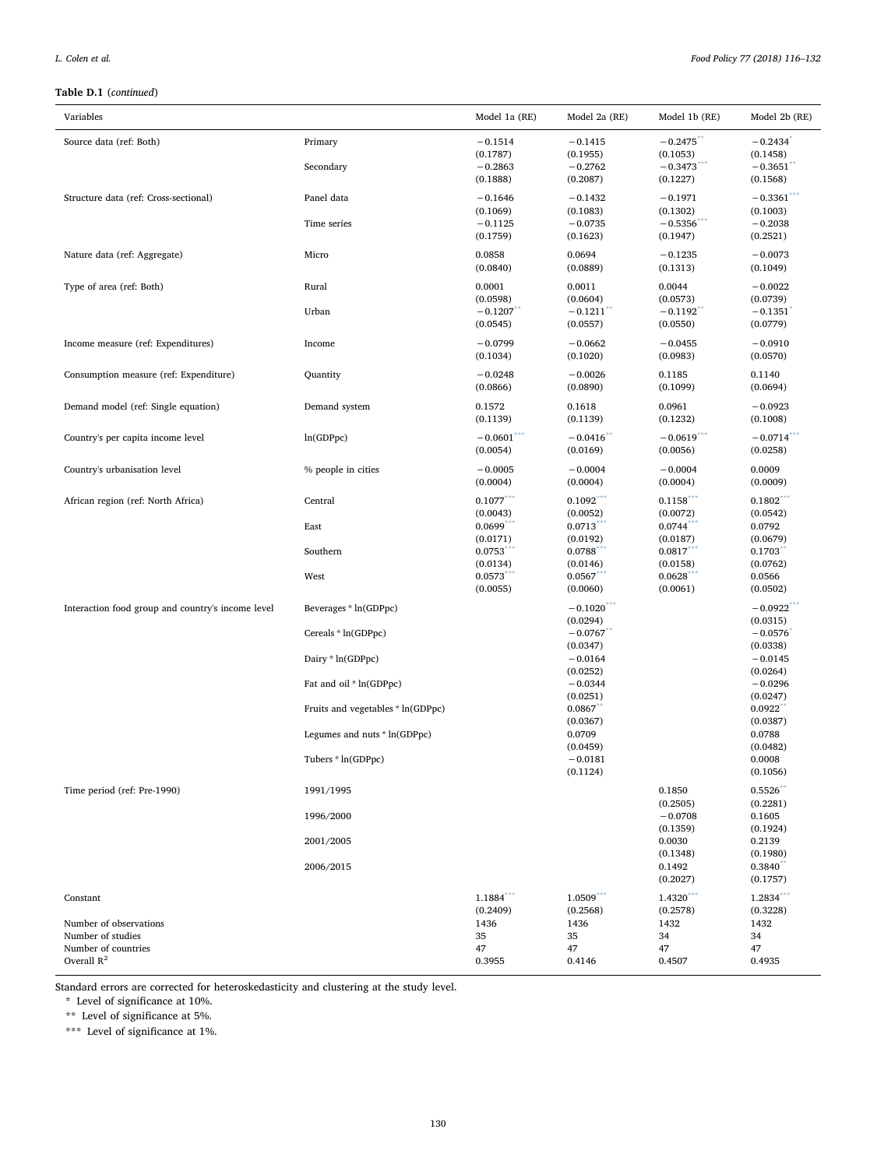## Table D.1 (continued)

| Variables                                                          |                                                    | Model 1a (RE)                                  | Model 2a (RE)                                  | Model 1b (RE)                                      | Model 2b (RE)                                               |
|--------------------------------------------------------------------|----------------------------------------------------|------------------------------------------------|------------------------------------------------|----------------------------------------------------|-------------------------------------------------------------|
| Source data (ref: Both)                                            | Primary<br>Secondary                               | $-0.1514$<br>(0.1787)<br>$-0.2863$<br>(0.1888) | $-0.1415$<br>(0.1955)<br>$-0.2762$<br>(0.2087) | $-0.2475$<br>(0.1053)<br>$-0.3473$ ***<br>(0.1227) | $-0.2434$<br>(0.1458)<br>$-0.3651$ <sup>*</sup><br>(0.1568) |
| Structure data (ref: Cross-sectional)                              | Panel data<br>Time series                          | $-0.1646$<br>(0.1069)<br>$-0.1125$             | $-0.1432$<br>(0.1083)<br>$-0.0735$             | $-0.1971$<br>(0.1302)<br>$-0.5356$                 | $-0.3361$ ***<br>(0.1003)<br>$-0.2038$                      |
| Nature data (ref: Aggregate)                                       | Micro                                              | (0.1759)<br>0.0858<br>(0.0840)                 | (0.1623)<br>0.0694<br>(0.0889)                 | (0.1947)<br>$-0.1235$<br>(0.1313)                  | (0.2521)<br>$-0.0073$<br>(0.1049)                           |
| Type of area (ref: Both)                                           | Rural                                              | 0.0001<br>(0.0598)                             | 0.0011<br>(0.0604)                             | 0.0044<br>(0.0573)                                 | $-0.0022$<br>(0.0739)                                       |
|                                                                    | Urban                                              | $-0.1207$<br>(0.0545)                          | $-0.1211$ <sup>**</sup><br>(0.0557)            | $-0.1192$ <sup>**</sup><br>(0.0550)                | $-0.1351$<br>(0.0779)                                       |
| Income measure (ref: Expenditures)                                 | Income                                             | $-0.0799$<br>(0.1034)                          | $-0.0662$<br>(0.1020)                          | $-0.0455$<br>(0.0983)                              | $-0.0910$<br>(0.0570)                                       |
| Consumption measure (ref: Expenditure)                             | Quantity                                           | $-0.0248$<br>(0.0866)                          | $-0.0026$<br>(0.0890)                          | 0.1185<br>(0.1099)                                 | 0.1140<br>(0.0694)                                          |
| Demand model (ref: Single equation)                                | Demand system                                      | 0.1572<br>(0.1139)                             | 0.1618<br>(0.1139)                             | 0.0961<br>(0.1232)                                 | $-0.0923$<br>(0.1008)                                       |
| Country's per capita income level                                  | ln(GDPpc)                                          | $-0.0601***$<br>(0.0054)                       | $-0.0416$<br>(0.0169)                          | $-0.0619***$<br>(0.0056)                           | $-0.0714$<br>(0.0258)                                       |
| Country's urbanisation level                                       | % people in cities                                 | $-0.0005$<br>(0.0004)                          | $-0.0004$<br>(0.0004)                          | $-0.0004$<br>(0.0004)                              | 0.0009<br>(0.0009)                                          |
| African region (ref: North Africa)                                 | Central                                            | $0.1077***$<br>(0.0043)<br>0.0699              | $0.1092***$<br>(0.0052)<br>0.0713              | $0.1158$ <sup>***</sup><br>(0.0072)<br>0.0744      | $0.1802***$<br>(0.0542)<br>0.0792                           |
|                                                                    | East<br>Southern                                   | (0.0171)<br>0.0753<br>(0.0134)                 | (0.0192)<br>0.0788<br>(0.0146)                 | (0.0187)<br>0.0817<br>(0.0158)                     | (0.0679)<br>0.1703<br>(0.0762)                              |
|                                                                    | West                                               | 0.0573<br>(0.0055)                             | 0.0567<br>(0.0060)                             | 0.0628<br>(0.0061)                                 | 0.0566<br>(0.0502)                                          |
| Interaction food group and country's income level                  | Beverages * ln(GDPpc)<br>Cereals * ln(GDPpc)       |                                                | $-0.1020$ ***<br>(0.0294)<br>$-0.0767$         |                                                    | $-0.0922$ ***<br>(0.0315)<br>$-0.0576$                      |
|                                                                    | Dairy * ln(GDPpc)                                  |                                                | (0.0347)<br>$-0.0164$                          |                                                    | (0.0338)<br>$-0.0145$                                       |
|                                                                    | Fat and oil * ln(GDPpc)                            |                                                | (0.0252)<br>$-0.0344$<br>(0.0251)              |                                                    | (0.0264)<br>$-0.0296$<br>(0.0247)                           |
|                                                                    | Fruits and vegetables * ln(GDPpc)                  |                                                | 0.0867<br>(0.0367)                             |                                                    | 0.0922<br>(0.0387)                                          |
|                                                                    | Legumes and nuts * ln(GDPpc)<br>Tubers * ln(GDPpc) |                                                | 0.0709<br>(0.0459)<br>$-0.0181$                |                                                    | 0.0788<br>(0.0482)<br>0.0008                                |
| Time period (ref: Pre-1990)                                        | 1991/1995                                          |                                                | (0.1124)                                       | 0.1850                                             | (0.1056)<br>0.5526                                          |
|                                                                    | 1996/2000                                          |                                                |                                                | (0.2505)<br>$-0.0708$                              | (0.2281)<br>0.1605                                          |
|                                                                    | 2001/2005                                          |                                                |                                                | (0.1359)<br>0.0030<br>(0.1348)                     | (0.1924)<br>0.2139<br>(0.1980)                              |
|                                                                    | 2006/2015                                          |                                                |                                                | 0.1492<br>(0.2027)                                 | 0.3840<br>(0.1757)                                          |
| Constant                                                           |                                                    | 1.1884***<br>(0.2409)                          | $1.0509***$<br>(0.2568)                        | $1.4320***$<br>(0.2578)                            | $1.2834***$<br>(0.3228)                                     |
| Number of observations<br>Number of studies<br>Number of countries |                                                    | 1436<br>35<br>47                               | 1436<br>35<br>47                               | 1432<br>34<br>47                                   | 1432<br>34<br>47                                            |
| Overall $R^2$                                                      |                                                    | 0.3955                                         | 0.4146                                         | 0.4507                                             | 0.4935                                                      |

Standard errors are corrected for heteroskedasticity and clustering at the study level.

<span id="page-14-0"></span> $^{\star}\,$  Level of significance at 10%.

<span id="page-14-1"></span>\*\* Level of significance at 5%.

<span id="page-14-2"></span>\*\*\* Level of significance at 1%.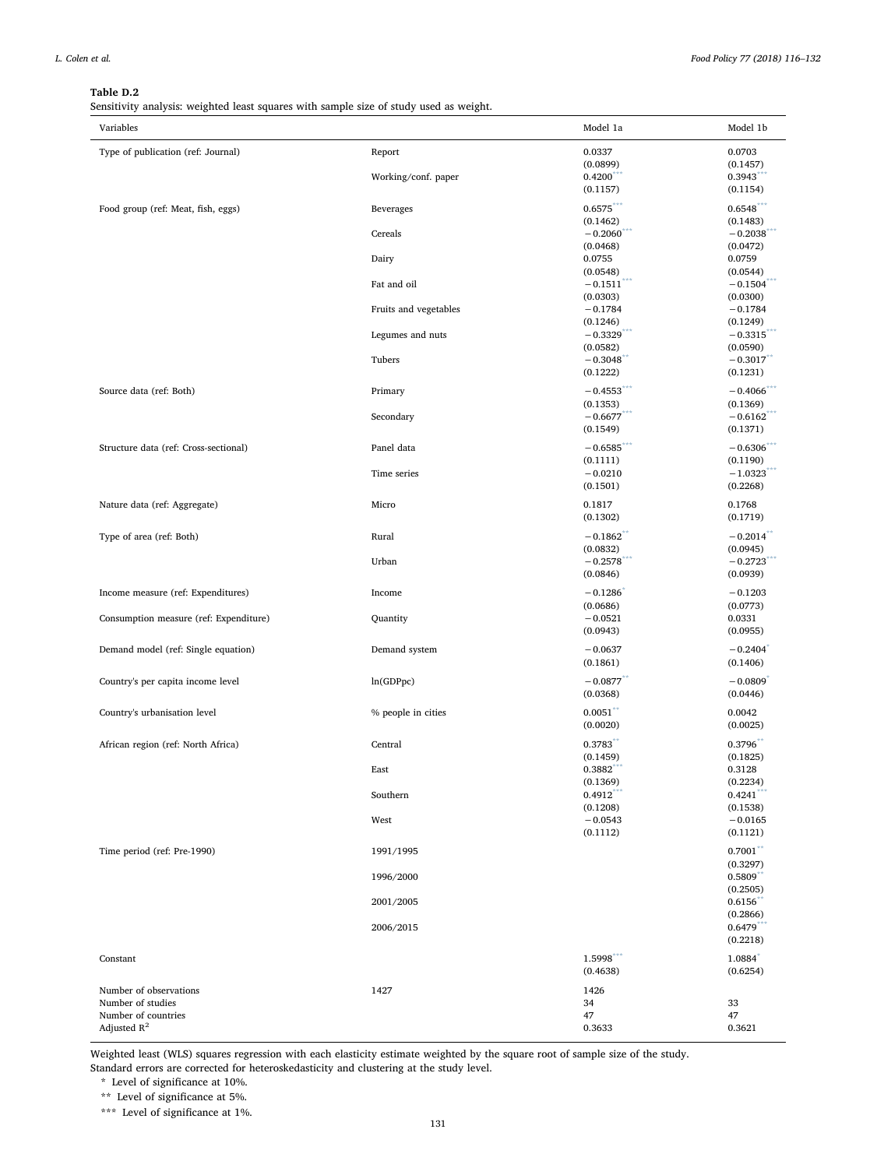## <span id="page-15-0"></span>Table D.2

Sensitivity analysis: weighted least squares with sample size of study used as weight.

| Variables                              |                       | Model 1a                | Model 1b               |
|----------------------------------------|-----------------------|-------------------------|------------------------|
| Type of publication (ref: Journal)     | Report                | 0.0337                  | 0.0703                 |
|                                        |                       | (0.0899)                | (0.1457)               |
|                                        | Working/conf. paper   | 0.4200                  | 0.3943                 |
|                                        |                       | (0.1157)                | (0.1154)               |
| Food group (ref: Meat, fish, eggs)     | <b>Beverages</b>      | $0.6575***$             | $0.6548***$            |
|                                        |                       | (0.1462)                | (0.1483)               |
|                                        | Cereals               | $-0.2060^{\degree}$     | $-0.2038$              |
|                                        |                       | (0.0468)                | (0.0472)               |
|                                        | Dairy                 | 0.0755                  | 0.0759                 |
|                                        |                       | (0.0548)                | (0.0544)               |
|                                        | Fat and oil           | $-0.1511***$            | $-0.1504***$           |
|                                        |                       | (0.0303)                | (0.0300)               |
|                                        | Fruits and vegetables | $-0.1784$               | $-0.1784$              |
|                                        |                       | (0.1246)                | (0.1249)               |
|                                        | Legumes and nuts      | $-0.3329$               | $-0.3315$ <sup>*</sup> |
|                                        |                       | (0.0582)                | (0.0590)               |
|                                        | Tubers                | $-0.3048$               | $-0.3017$              |
|                                        |                       | (0.1222)                | (0.1231)               |
| Source data (ref: Both)                | Primary               | $-0.4553***$            | $-0.4066$              |
|                                        |                       | (0.1353)                | (0.1369)               |
|                                        | Secondary             | $-0.6677$ ***           | $-0.6162***$           |
|                                        |                       | (0.1549)                | (0.1371)               |
| Structure data (ref: Cross-sectional)  | Panel data            | $-0.6585$ ***           | $-0.6306$              |
|                                        |                       | (0.1111)                | (0.1190)               |
|                                        | Time series           | $-0.0210$               | $-1.0323$              |
|                                        |                       | (0.1501)                | (0.2268)               |
|                                        |                       |                         |                        |
| Nature data (ref: Aggregate)           | Micro                 | 0.1817                  | 0.1768                 |
|                                        |                       | (0.1302)                | (0.1719)               |
| Type of area (ref: Both)               | Rural                 | $-0.1862$ <sup>**</sup> | $-0.2014$ **           |
|                                        |                       | (0.0832)                | (0.0945)               |
|                                        | Urban                 | $-0.2578$               | $-0.2723$              |
|                                        |                       | (0.0846)                | (0.0939)               |
| Income measure (ref: Expenditures)     | Income                | $-0.1286$               | $-0.1203$              |
|                                        |                       | (0.0686)                | (0.0773)               |
| Consumption measure (ref: Expenditure) | Quantity              | $-0.0521$               | 0.0331                 |
|                                        |                       | (0.0943)                | (0.0955)               |
| Demand model (ref: Single equation)    | Demand system         | $-0.0637$               | $-0.2404$              |
|                                        |                       | (0.1861)                | (0.1406)               |
|                                        |                       |                         |                        |
| Country's per capita income level      | ln(GDPpc)             | $-0.0877$               | $-0.0809$              |
|                                        |                       | (0.0368)                | (0.0446)               |
| Country's urbanisation level           | % people in cities    | $0.0051***$             | 0.0042                 |
|                                        |                       | (0.0020)                | (0.0025)               |
|                                        | Central               | 0.3783                  | 0.3796                 |
| African region (ref: North Africa)     |                       | (0.1459)                | (0.1825)               |
|                                        | East                  | 0.3882                  | 0.3128                 |
|                                        |                       | (0.1369)                | (0.2234)               |
|                                        | Southern              | 0.4912                  | 0.4241                 |
|                                        |                       | (0.1208)                | (0.1538)               |
|                                        | West                  | $-0.0543$               | $-0.0165$              |
|                                        |                       | (0.1112)                | (0.1121)               |
| Time period (ref: Pre-1990)            | 1991/1995             |                         | $0.7001$ **            |
|                                        |                       |                         | (0.3297)               |
|                                        | 1996/2000             |                         | 0.5809                 |
|                                        |                       |                         | (0.2505)               |
|                                        | 2001/2005             |                         | 0.6156                 |
|                                        |                       |                         | (0.2866)               |
|                                        | 2006/2015             |                         | $0.6479$ **            |
|                                        |                       |                         | (0.2218)               |
| Constant                               |                       | 1.5998                  | 1.0884                 |
|                                        |                       | (0.4638)                | (0.6254)               |
|                                        |                       |                         |                        |
| Number of observations                 | 1427                  | 1426                    |                        |
| Number of studies                      |                       | 34                      | 33                     |
| Number of countries                    |                       | 47                      | 47                     |
| Adjusted $R^2$                         |                       | 0.3633                  | 0.3621                 |

Weighted least (WLS) squares regression with each elasticity estimate weighted by the square root of sample size of the study. Standard errors are corrected for heteroskedasticity and clustering at the study level.

<span id="page-15-3"></span>\* Level of significance at 10%.

<span id="page-15-2"></span>\*\* Level of significance at 5%.

<span id="page-15-1"></span>\*\*\* Level of significance at 1%.